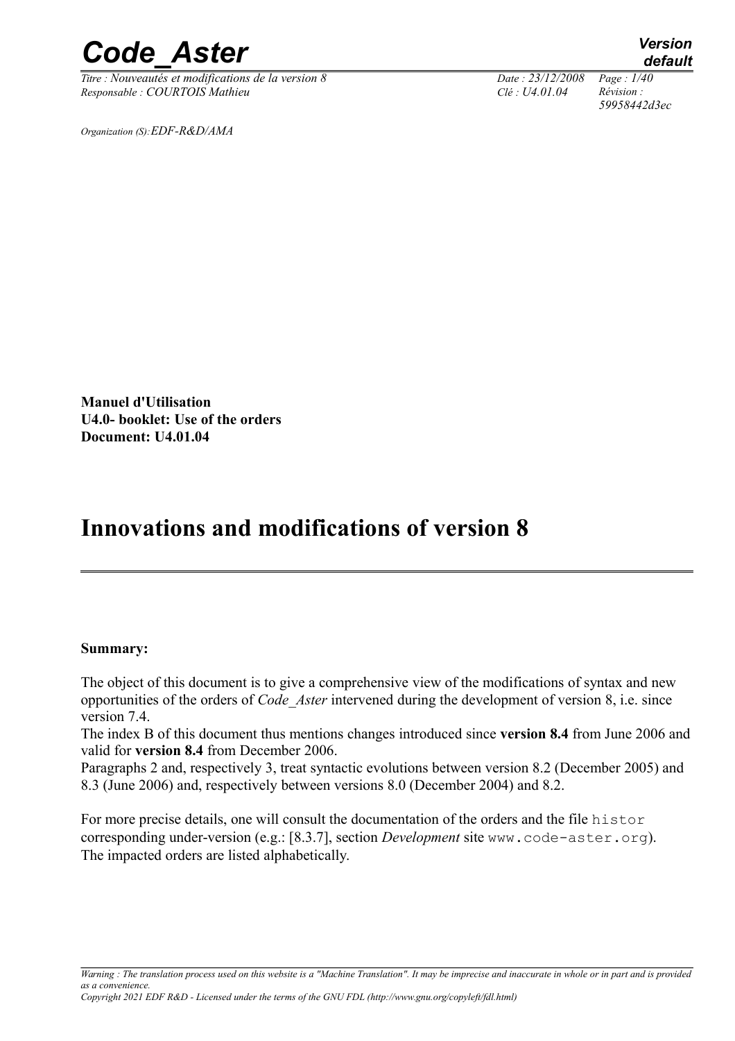*Titre : Nouveautés et modifications de la version 8 Date : 23/12/2008 Page : 1/40 Responsable : COURTOIS Mathieu Clé : U4.01.04 Révision :* 

*59958442d3ec*

*Organization (S):EDF-R&D/AMA*

**Manuel d'Utilisation U4.0- booklet: Use of the orders Document: U4.01.04**

## **Innovations and modifications of version 8**

#### **Summary:**

The object of this document is to give a comprehensive view of the modifications of syntax and new opportunities of the orders of *Code\_Aster* intervened during the development of version 8, i.e. since version 7.4

The index B of this document thus mentions changes introduced since **version 8.4** from June 2006 and valid for **version 8.4** from December 2006.

Paragraphs 2 and, respectively 3, treat syntactic evolutions between version 8.2 (December 2005) and 8.3 (June 2006) and, respectively between versions 8.0 (December 2004) and 8.2.

For more precise details, one will consult the documentation of the orders and the file histor corresponding under-version (e.g.: [8.3.7], section *Development* site www.code-aster.org). The impacted orders are listed alphabetically.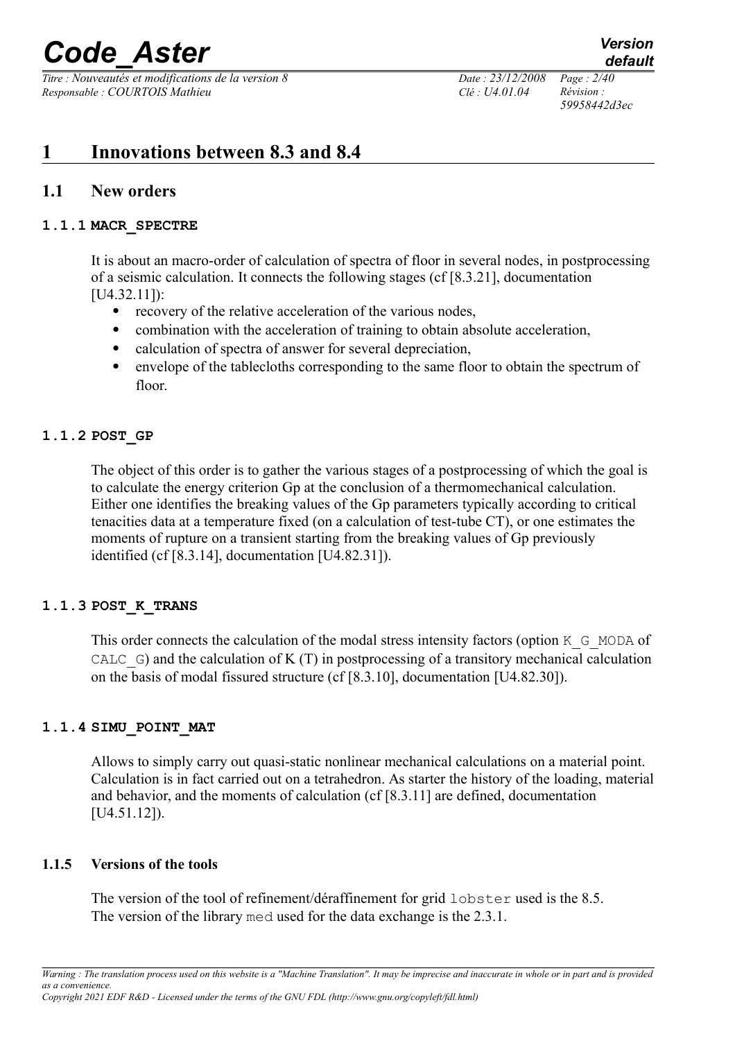*Titre : Nouveautés et modifications de la version 8 Date : 23/12/2008 Page : 2/40 Responsable : COURTOIS Mathieu Clé : U4.01.04 Révision :* 

*59958442d3ec*

## **1 Innovations between 8.3 and 8.4**

## **1.1 New orders**

## **1.1.1 MACR\_SPECTRE**

It is about an macro-order of calculation of spectra of floor in several nodes, in postprocessing of a seismic calculation. It connects the following stages (cf [8.3.21], documentation [U4.32.11]):

- recovery of the relative acceleration of the various nodes,
- combination with the acceleration of training to obtain absolute acceleration,
- calculation of spectra of answer for several depreciation,
- envelope of the tablecloths corresponding to the same floor to obtain the spectrum of floor.

## **1.1.2 POST\_GP**

The object of this order is to gather the various stages of a postprocessing of which the goal is to calculate the energy criterion Gp at the conclusion of a thermomechanical calculation. Either one identifies the breaking values of the Gp parameters typically according to critical tenacities data at a temperature fixed (on a calculation of test-tube CT), or one estimates the moments of rupture on a transient starting from the breaking values of Gp previously identified (cf [8.3.14], documentation [U4.82.31]).

## **1.1.3 POST\_K\_TRANS**

This order connects the calculation of the modal stress intensity factors (option K\_G\_MODA of CALC  $\epsilon$ ) and the calculation of K (T) in postprocessing of a transitory mechanical calculation on the basis of modal fissured structure (cf [8.3.10], documentation [U4.82.30]).

## **1.1.4 SIMU\_POINT\_MAT**

Allows to simply carry out quasi-static nonlinear mechanical calculations on a material point. Calculation is in fact carried out on a tetrahedron. As starter the history of the loading, material and behavior, and the moments of calculation (cf [8.3.11] are defined, documentation [U4.51.12]).

## **1.1.5 Versions of the tools**

The version of the tool of refinement/déraffinement for grid lobster used is the 8.5. The version of the library med used for the data exchange is the 2.3.1.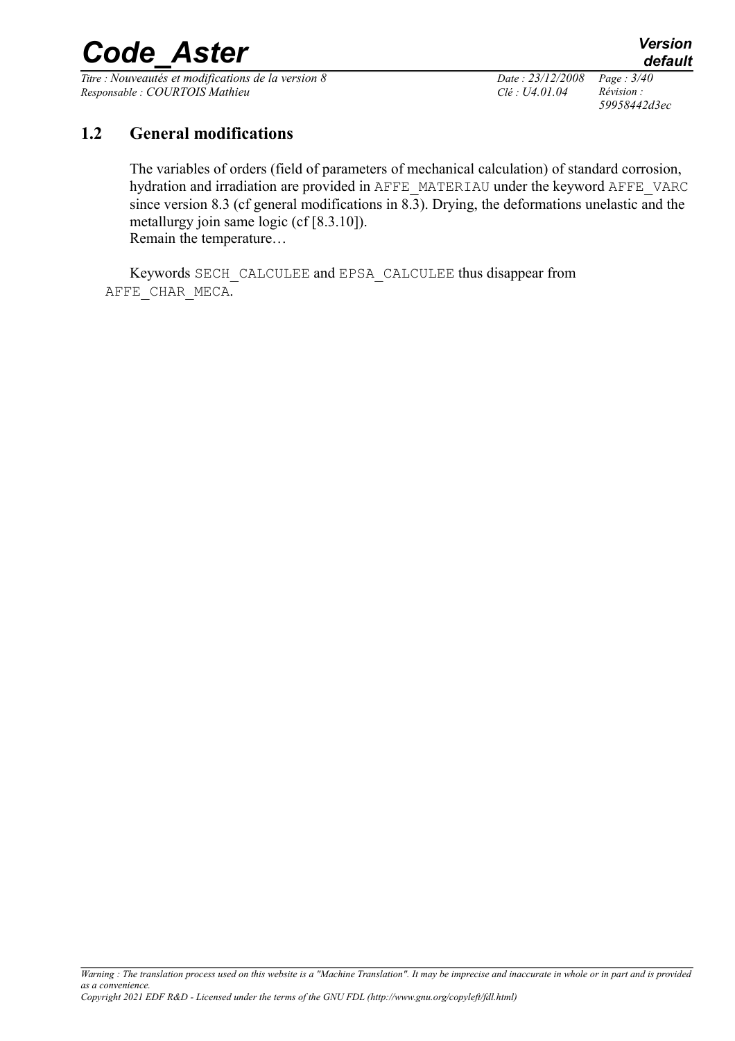*Titre : Nouveautés et modifications de la version 8 Date : 23/12/2008 Page : 3/40 Responsable : COURTOIS Mathieu Clé : U4.01.04 Révision :* 

*59958442d3ec*

## **1.2 General modifications**

The variables of orders (field of parameters of mechanical calculation) of standard corrosion, hydration and irradiation are provided in AFFE\_MATERIAU under the keyword AFFE\_VARC since version 8.3 (cf general modifications in  $\overline{8.3}$ ). Drying, the deformations unelastic and the metallurgy join same logic (cf [8.3.10]). Remain the temperature…

Keywords SECH\_CALCULEE and EPSA\_CALCULEE thus disappear from AFFE\_CHAR\_MECA.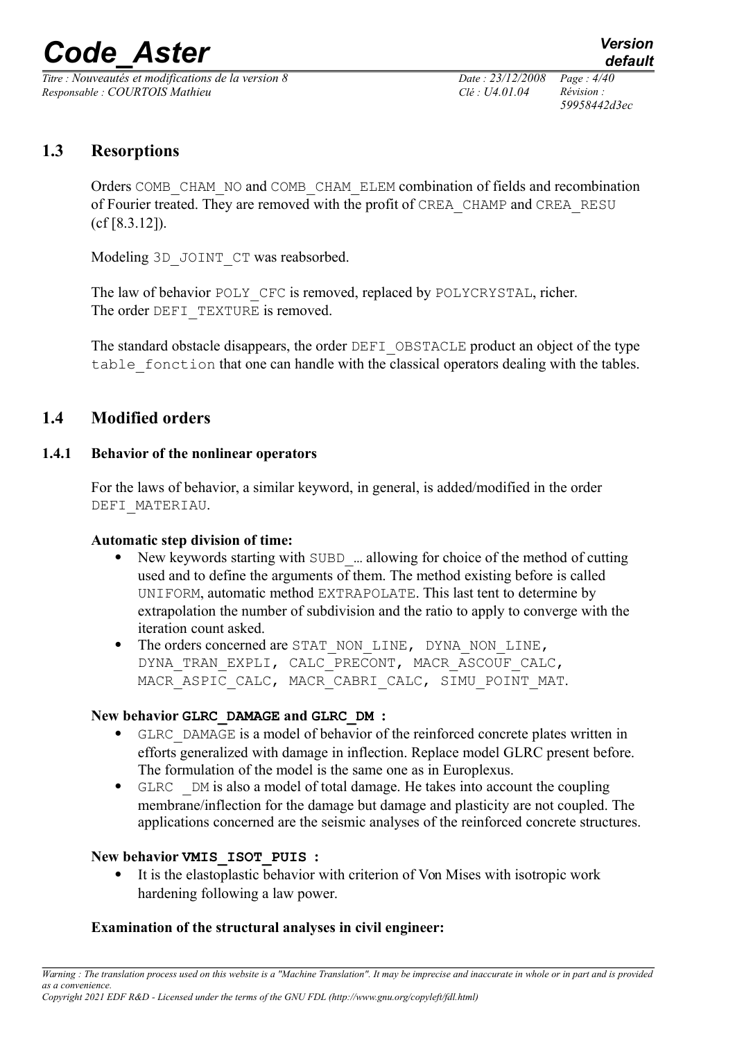*Titre : Nouveautés et modifications de la version 8 Date : 23/12/2008 Page : 4/40 Responsable : COURTOIS Mathieu Clé : U4.01.04 Révision :* 

*59958442d3ec*

## **1.3 Resorptions**

Orders COMB\_CHAM\_NO and COMB\_CHAM\_ELEM combination of fields and recombination of Fourier treated. They are removed with the profit of CREA\_CHAMP and CREA\_RESU (cf [8.3.12]).

Modeling 3D\_JOINT\_CT was reabsorbed.

The law of behavior POLY CFC is removed, replaced by POLYCRYSTAL, richer. The order DEFI TEXTURE is removed.

The standard obstacle disappears, the order DEFI OBSTACLE product an object of the type table fonction that one can handle with the classical operators dealing with the tables.

## **1.4 Modified orders**

## **1.4.1 Behavior of the nonlinear operators**

For the laws of behavior, a similar keyword, in general, is added/modified in the order DEFI\_MATERIAU.

## **Automatic step division of time:**

- New keywords starting with SUBD\_… allowing for choice of the method of cutting used and to define the arguments of them. The method existing before is called UNIFORM, automatic method EXTRAPOLATE. This last tent to determine by extrapolation the number of subdivision and the ratio to apply to converge with the iteration count asked.
- The orders concerned are STAT\_NON\_LINE, DYNA\_NON\_LINE, DYNA\_TRAN\_EXPLI, CALC PRECONT, MACR ASCOUF CALC, MACR\_ASPIC\_CALC, MACR\_CABRI\_CALC, SIMU\_POINT\_MAT.

## **New behavior GLRC\_DAMAGE and GLRC\_DM :**

- GLRC\_DAMAGE is a model of behavior of the reinforced concrete plates written in efforts generalized with damage in inflection. Replace model GLRC present before. The formulation of the model is the same one as in Europlexus.
- GLRC \_DM is also a model of total damage. He takes into account the coupling membrane/inflection for the damage but damage and plasticity are not coupled. The applications concerned are the seismic analyses of the reinforced concrete structures.

## **New behavior VMIS\_ISOT\_PUIS :**

 It is the elastoplastic behavior with criterion of Von Mises with isotropic work hardening following a law power.

## **Examination of the structural analyses in civil engineer:**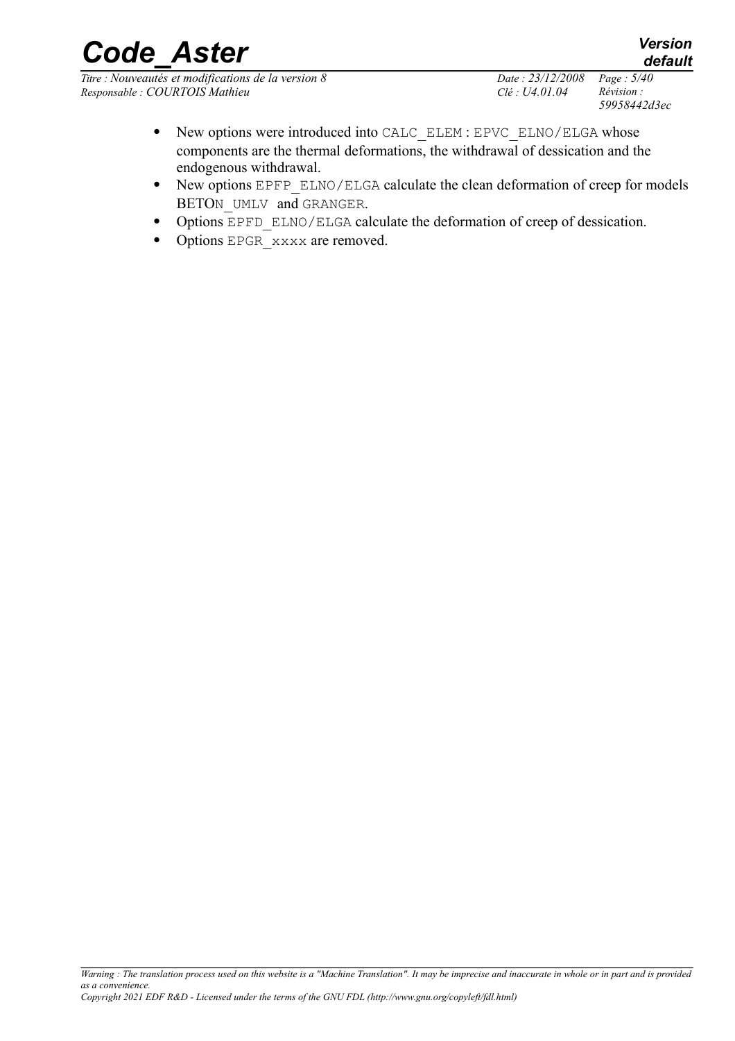*Titre : Nouveautés et modifications de la version 8 Date : 23/12/2008 Page : 5/40 Responsable : COURTOIS Mathieu Clé : U4.01.04 Révision :* 

*59958442d3ec*

- New options were introduced into CALC\_ELEM : EPVC\_ELNO/ELGA whose components are the thermal deformations, the withdrawal of dessication and the endogenous withdrawal.
- New options EPFP\_ELNO/ELGA calculate the clean deformation of creep for models BETON UMLV and GRANGER.
- Options EPFD ELNO/ELGA calculate the deformation of creep of dessication.
- Options EPGR xxxx are removed.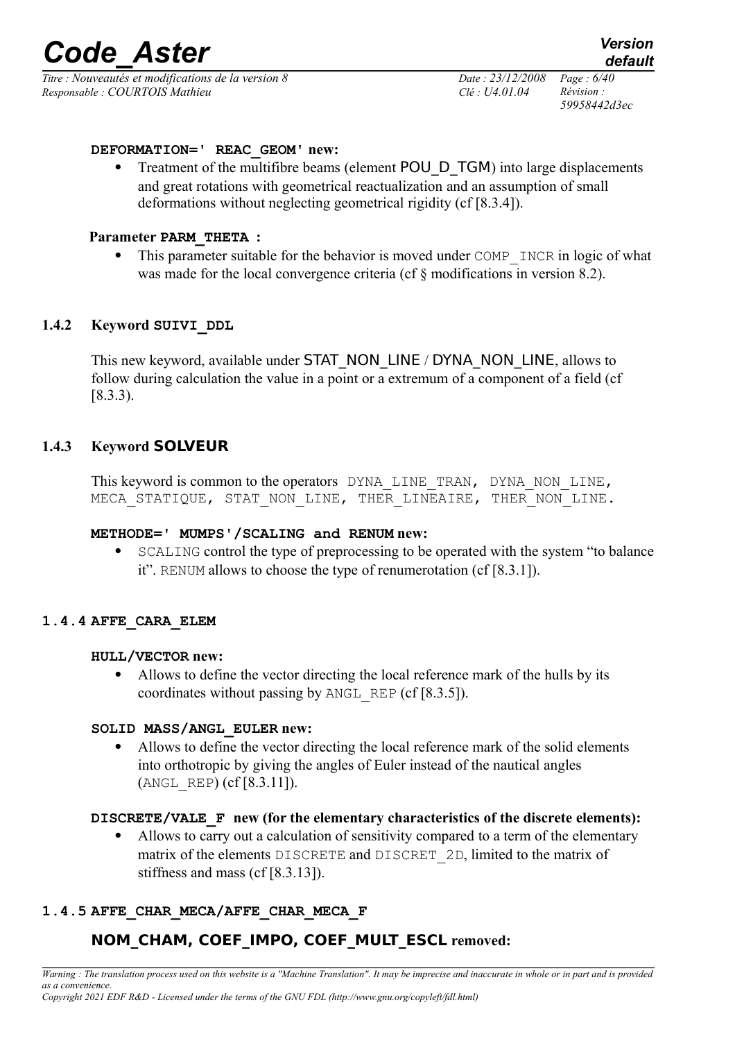*Titre : Nouveautés et modifications de la version 8 Date : 23/12/2008 Page : 6/40 Responsable : COURTOIS Mathieu Clé : U4.01.04 Révision :* 

*59958442d3ec*

#### **DEFORMATION=' REAC\_GEOM' new:**

Treatment of the multifibre beams (element POU\_D\_TGM) into large displacements and great rotations with geometrical reactualization and an assumption of small deformations without neglecting geometrical rigidity (cf [8.3.4]).

#### **Parameter PARM\_THETA :**

This parameter suitable for the behavior is moved under COMP INCR in logic of what was made for the local convergence criteria (cf  $\S$  modifications in version 8.2).

#### **1.4.2 Keyword SUIVI\_DDL**

This new keyword, available under STAT\_NON\_LINE / DYNA\_NON\_LINE, allows to follow during calculation the value in a point or a extremum of a component of a field (cf [8.3.3).

#### **1.4.3 Keyword SOLVEUR**

This keyword is common to the operators DYNA LINE TRAN, DYNA NON LINE, MECA STATIQUE, STAT NON LINE, THER LINEAIRE, THER NON LINE.

#### **METHODE=' MUMPS'/SCALING and RENUM new:**

• SCALING control the type of preprocessing to be operated with the system "to balance" it". RENUM allows to choose the type of renumerotation (cf [8.3.1]).

#### **1.4.4 AFFE\_CARA\_ELEM**

#### **HULL/VECTOR new:**

 Allows to define the vector directing the local reference mark of the hulls by its coordinates without passing by ANGL\_REP (cf  $[8.3.5]$ ).

#### **SOLID MASS/ANGL\_EULER new:**

 Allows to define the vector directing the local reference mark of the solid elements into orthotropic by giving the angles of Euler instead of the nautical angles (ANGL\_REP) (cf [8.3.11]).

#### **DISCRETE/VALE\_F new (for the elementary characteristics of the discrete elements):**

 Allows to carry out a calculation of sensitivity compared to a term of the elementary matrix of the elements DISCRETE and DISCRET 2D, limited to the matrix of stiffness and mass (cf [8.3.13]).

## **1.4.5 AFFE\_CHAR\_MECA/AFFE\_CHAR\_MECA\_F**

## **NOM\_CHAM, COEF\_IMPO, COEF\_MULT\_ESCL removed:**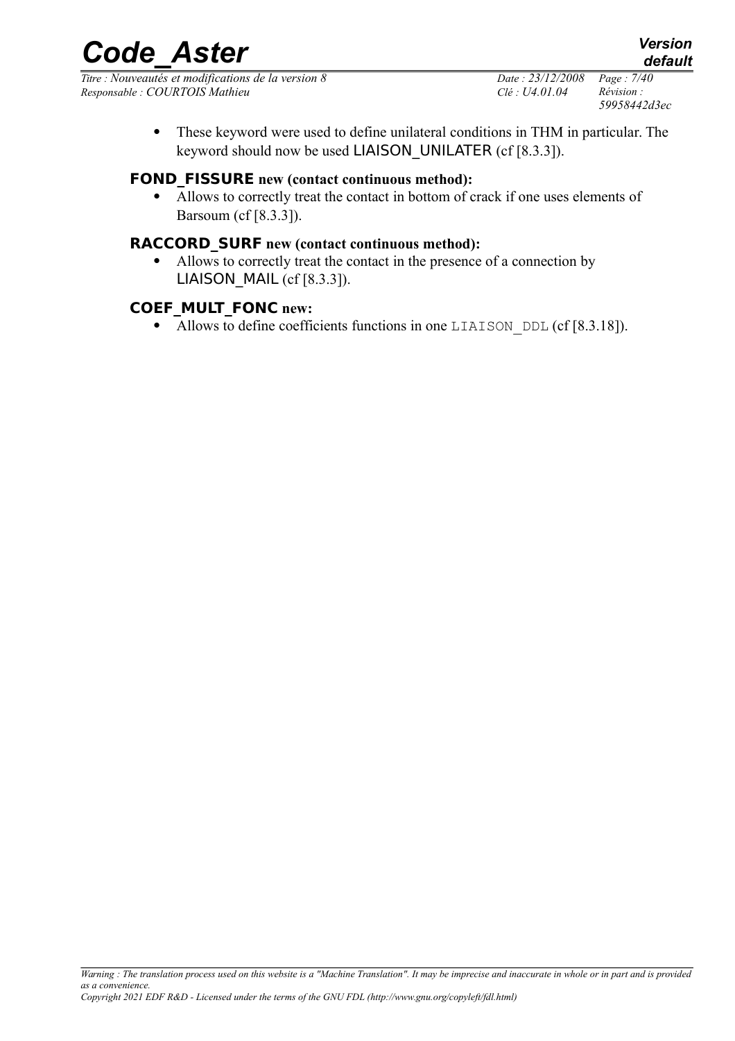*Titre : Nouveautés et modifications de la version 8 Date : 23/12/2008 Page : 7/40 Responsable : COURTOIS Mathieu Clé : U4.01.04 Révision :* 

*59958442d3ec*

 These keyword were used to define unilateral conditions in THM in particular. The keyword should now be used LIAISON UNILATER (cf [8.3.3]).

## **FOND\_FISSURE new (contact continuous method):**

 Allows to correctly treat the contact in bottom of crack if one uses elements of Barsoum (cf [8.3.3]).

## **RACCORD\_SURF new (contact continuous method):**

 Allows to correctly treat the contact in the presence of a connection by LIAISON MAIL (cf  $[8.3.3]$ ).

## **COEF\_MULT\_FONC new:**

• Allows to define coefficients functions in one LIAISON DDL (cf  $[8.3.18]$ ).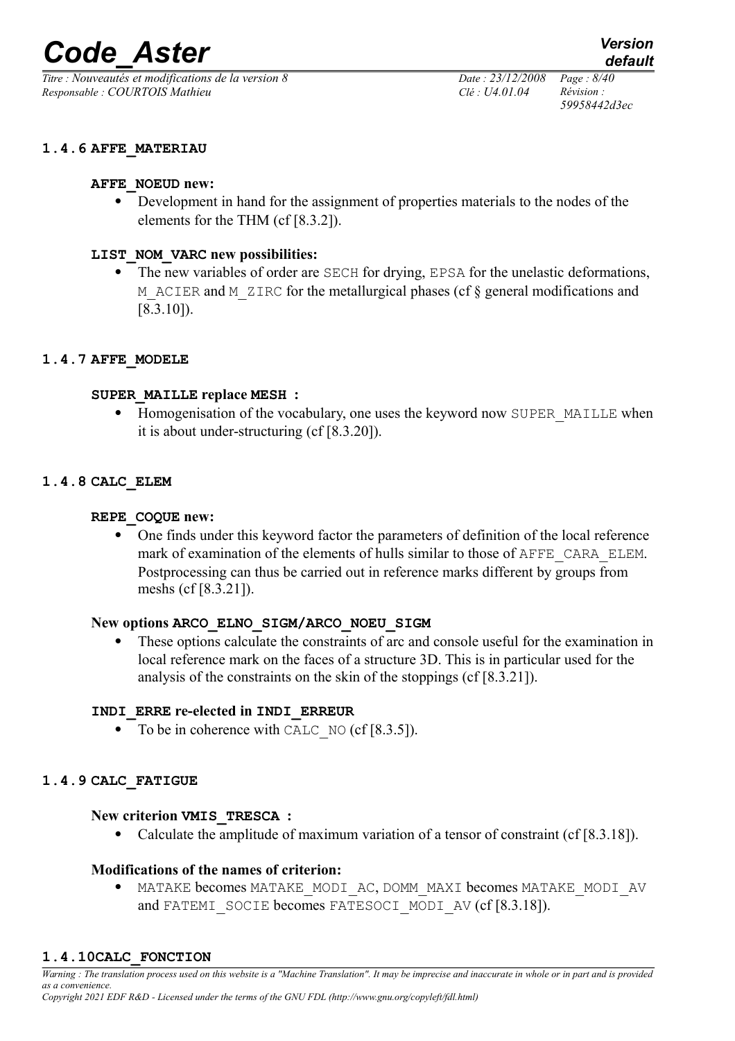*Titre : Nouveautés et modifications de la version 8 Date : 23/12/2008 Page : 8/40 Responsable : COURTOIS Mathieu Clé : U4.01.04 Révision :* 

#### **1.4.6 AFFE\_MATERIAU**

#### **AFFE\_NOEUD new:**

 Development in hand for the assignment of properties materials to the nodes of the elements for the THM (cf [8.3.2]).

#### **LIST\_NOM\_VARC new possibilities:**

• The new variables of order are SECH for drying, EPSA for the unelastic deformations, M\_ACIER and M\_ZIRC for the metallurgical phases (cf  $\S$  general modifications and [8.3.10]).

#### **1.4.7 AFFE\_MODELE**

#### **SUPER\_MAILLE replace MESH :**

• Homogenisation of the vocabulary, one uses the keyword now SUPER MAILLE when it is about under-structuring (cf [8.3.20]).

#### **1.4.8 CALC\_ELEM**

#### **REPE\_COQUE new:**

 One finds under this keyword factor the parameters of definition of the local reference mark of examination of the elements of hulls similar to those of AFFE\_CARA\_ELEM. Postprocessing can thus be carried out in reference marks different by groups from meshs (cf [8.3.21]).

#### **New options ARCO\_ELNO\_SIGM/ARCO\_NOEU\_SIGM**

 These options calculate the constraints of arc and console useful for the examination in local reference mark on the faces of a structure 3D. This is in particular used for the analysis of the constraints on the skin of the stoppings (cf [8.3.21]).

#### **INDI\_ERRE re-elected in INDI\_ERREUR**

• To be in coherence with CALC NO (cf  $[8.3.5]$ ).

#### **1.4.9 CALC\_FATIGUE**

#### **New criterion VMIS\_TRESCA :**

Calculate the amplitude of maximum variation of a tensor of constraint (cf [8.3.18]).

#### **Modifications of the names of criterion:**

MATAKE becomes MATAKE\_MODI\_AC, DOMM\_MAXI becomes MATAKE\_MODI\_AV and FATEMI SOCIE becomes FATESOCI MODI AV (cf [8.3.18]).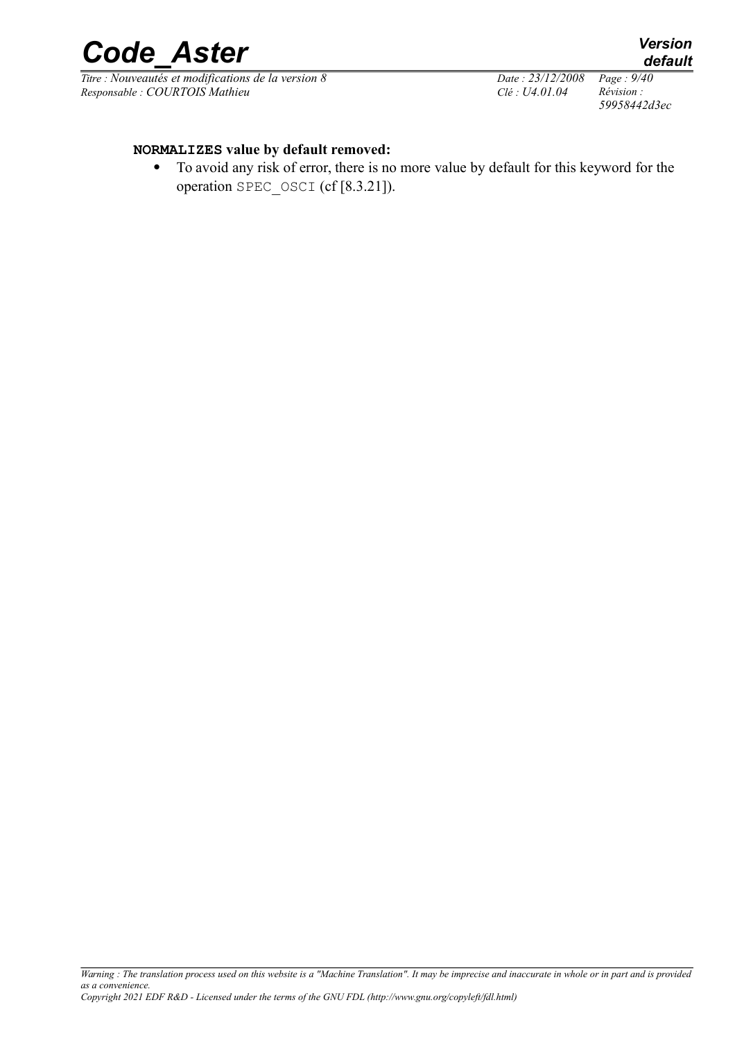

*Titre : Nouveautés et modifications de la version 8 Date : 23/12/2008 Page : 9/40 Responsable : COURTOIS Mathieu Clé : U4.01.04 Révision :* 

*59958442d3ec*

#### **NORMALIZES value by default removed:**

 To avoid any risk of error, there is no more value by default for this keyword for the operation SPEC\_OSCI (cf [8.3.21]).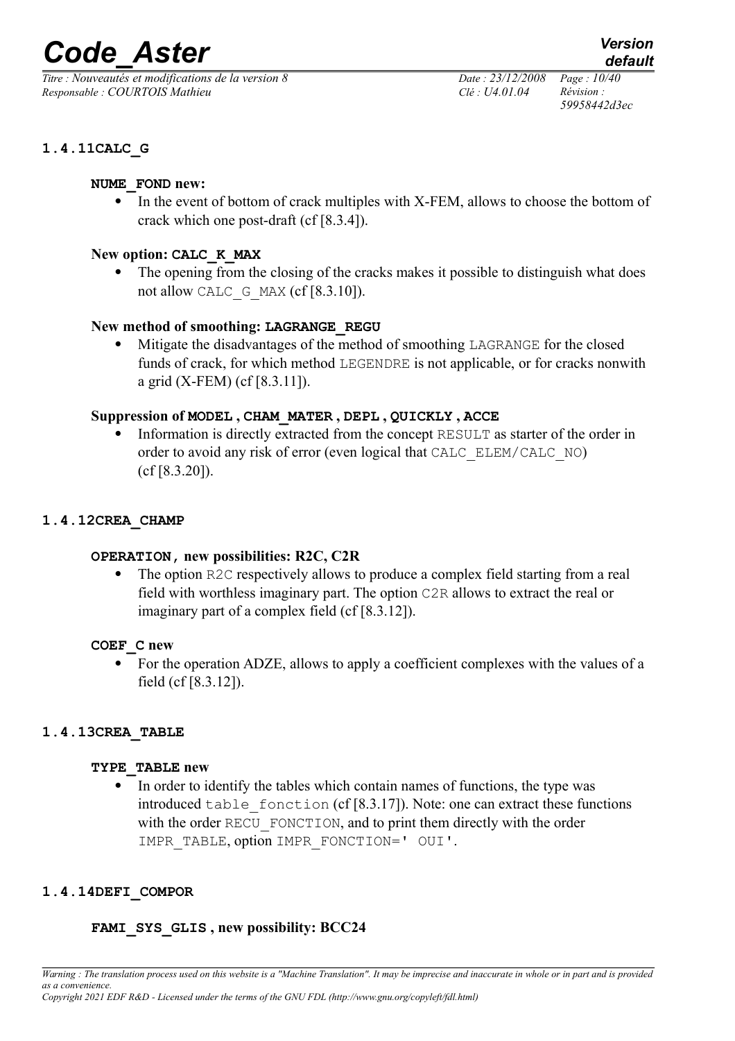*Titre : Nouveautés et modifications de la version 8 Date : 23/12/2008 Page : 10/40 Responsable : COURTOIS Mathieu Clé : U4.01.04 Révision :* 

*59958442d3ec*

## **1.4.11CALC\_G**

#### **NUME\_FOND new:**

 In the event of bottom of crack multiples with X-FEM, allows to choose the bottom of crack which one post-draft (cf [8.3.4]).

## **New option: CALC\_K\_MAX**

 The opening from the closing of the cracks makes it possible to distinguish what does not allow CALC  $G$  MAX (cf [8.3.10]).

## **New method of smoothing: LAGRANGE\_REGU**

 Mitigate the disadvantages of the method of smoothing LAGRANGE for the closed funds of crack, for which method LEGENDRE is not applicable, or for cracks nonwith a grid (X-FEM) (cf [8.3.11]).

## **Suppression of MODEL , CHAM\_MATER , DEPL , QUICKLY , ACCE**

 Information is directly extracted from the concept RESULT as starter of the order in order to avoid any risk of error (even logical that CALC\_ELEM/CALC\_NO) (cf [8.3.20]).

## **1.4.12CREA\_CHAMP**

## **OPERATION, new possibilities: R2C, C2R**

 The option R2C respectively allows to produce a complex field starting from a real field with worthless imaginary part. The option C2R allows to extract the real or imaginary part of a complex field (cf [8.3.12]).

## **COEF\_C new**

 For the operation ADZE, allows to apply a coefficient complexes with the values of a field (cf [8.3.12]).

## **1.4.13CREA\_TABLE**

#### **TYPE\_TABLE new**

• In order to identify the tables which contain names of functions, the type was introduced table fonction (cf  $[8.3.17]$ ). Note: one can extract these functions with the order RECU FONCTION, and to print them directly with the order IMPR\_TABLE, option IMPR\_FONCTION=' OUI'.

## **1.4.14DEFI\_COMPOR**

## **FAMI\_SYS\_GLIS , new possibility: BCC24**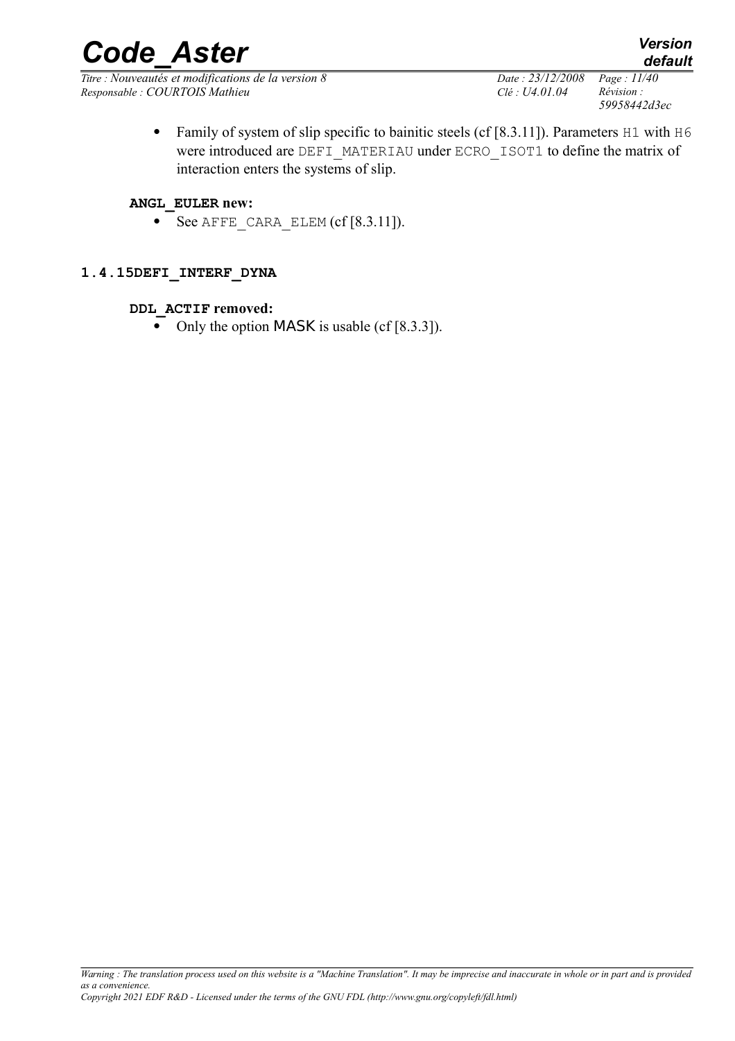*Titre : Nouveautés et modifications de la version 8 Date : 23/12/2008 Page : 11/40 Responsable : COURTOIS Mathieu Clé : U4.01.04 Révision :* 

• Family of system of slip specific to bainitic steels (cf [8.3.11]). Parameters H1 with H6 were introduced are DEFI\_MATERIAU under ECRO\_ISOT1 to define the matrix of interaction enters the systems of slip.

#### **ANGL\_EULER new:**

 $\bullet$  See AFFE CARA ELEM (cf [8.3.11]).

## **1.4.15DEFI\_INTERF\_DYNA**

#### **DDL\_ACTIF removed:**

• Only the option MASK is usable (cf  $[8.3.3]$ ).

*59958442d3ec*

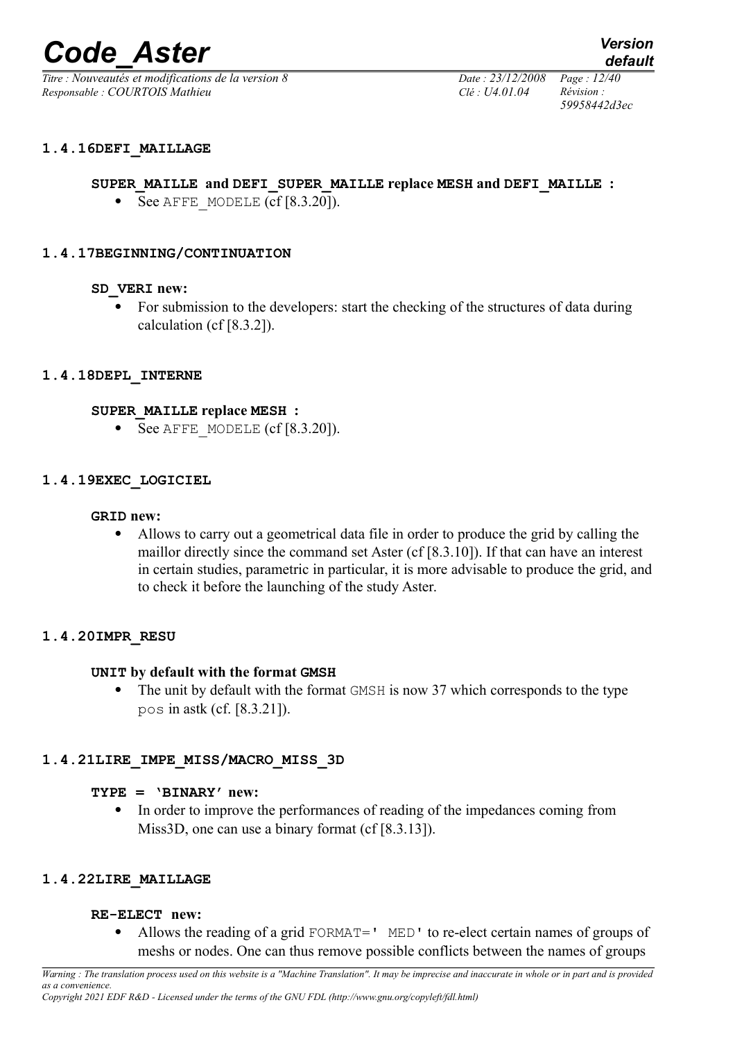*Titre : Nouveautés et modifications de la version 8 Date : 23/12/2008 Page : 12/40 Responsable : COURTOIS Mathieu Clé : U4.01.04 Révision :* 

#### **1.4.16DEFI\_MAILLAGE**

#### **SUPER\_MAILLE and DEFI\_SUPER\_MAILLE replace MESH and DEFI\_MAILLE :**

 $\bullet$  See AFFE\_MODELE (cf [8.3.20]).

#### **1.4.17BEGINNING/CONTINUATION**

#### **SD\_VERI new:**

• For submission to the developers: start the checking of the structures of data during calculation (cf [8.3.2]).

#### **1.4.18DEPL\_INTERNE**

#### **SUPER\_MAILLE replace MESH :**

 $\bullet$  See AFFE\_MODELE (cf [8.3.20]).

#### **1.4.19EXEC\_LOGICIEL**

#### **GRID new:**

 Allows to carry out a geometrical data file in order to produce the grid by calling the maillor directly since the command set Aster (cf [8.3.10]). If that can have an interest in certain studies, parametric in particular, it is more advisable to produce the grid, and to check it before the launching of the study Aster.

#### **1.4.20IMPR\_RESU**

#### **UNIT by default with the format GMSH**

• The unit by default with the format GMSH is now 37 which corresponds to the type pos in astk (cf. [8.3.21]).

#### **1.4.21LIRE\_IMPE\_MISS/MACRO\_MISS\_3D**

#### **TYPE = 'BINARY' new:**

 In order to improve the performances of reading of the impedances coming from Miss3D, one can use a binary format (cf [8.3.13]).

#### **1.4.22LIRE\_MAILLAGE**

#### **RE-ELECT new:**

• Allows the reading of a grid FORMAT=' MED' to re-elect certain names of groups of meshs or nodes. One can thus remove possible conflicts between the names of groups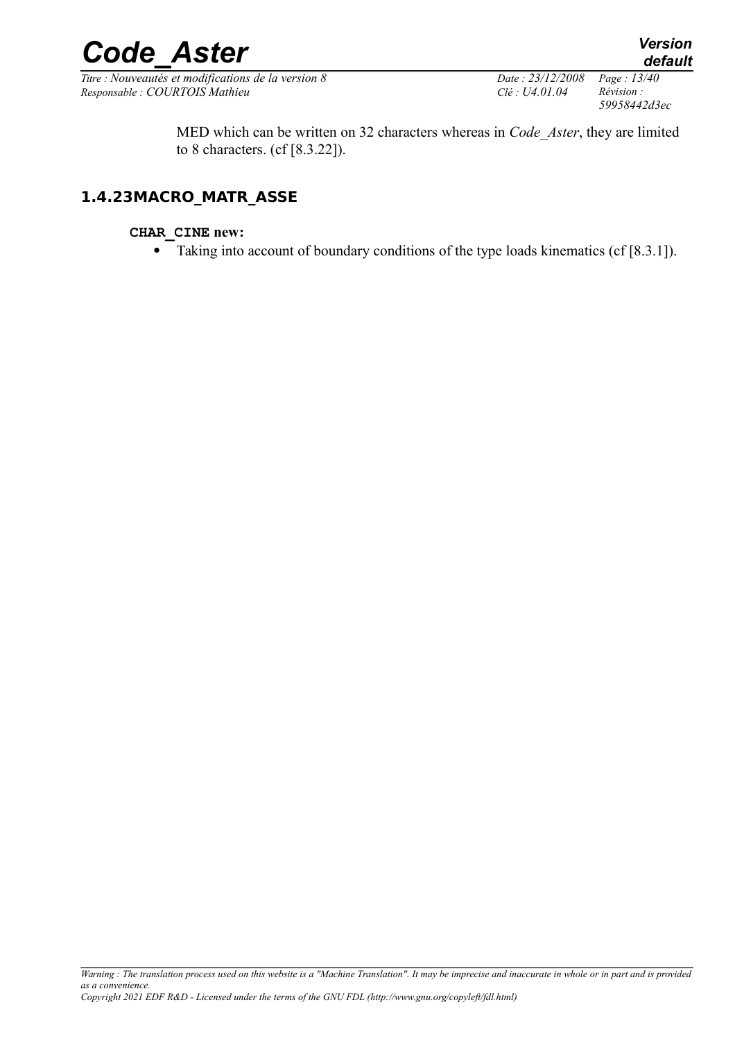*Titre : Nouveautés et modifications de la version 8 Date : 23/12/2008 Page : 13/40 Responsable : COURTOIS Mathieu Clé : U4.01.04 Révision :* 

*59958442d3ec*

MED which can be written on 32 characters whereas in *Code\_Aster*, they are limited to 8 characters. (cf [8.3.22]).

## **1.4.23MACRO\_MATR\_ASSE**

### **CHAR\_CINE new:**

• Taking into account of boundary conditions of the type loads kinematics (cf [8.3.1]).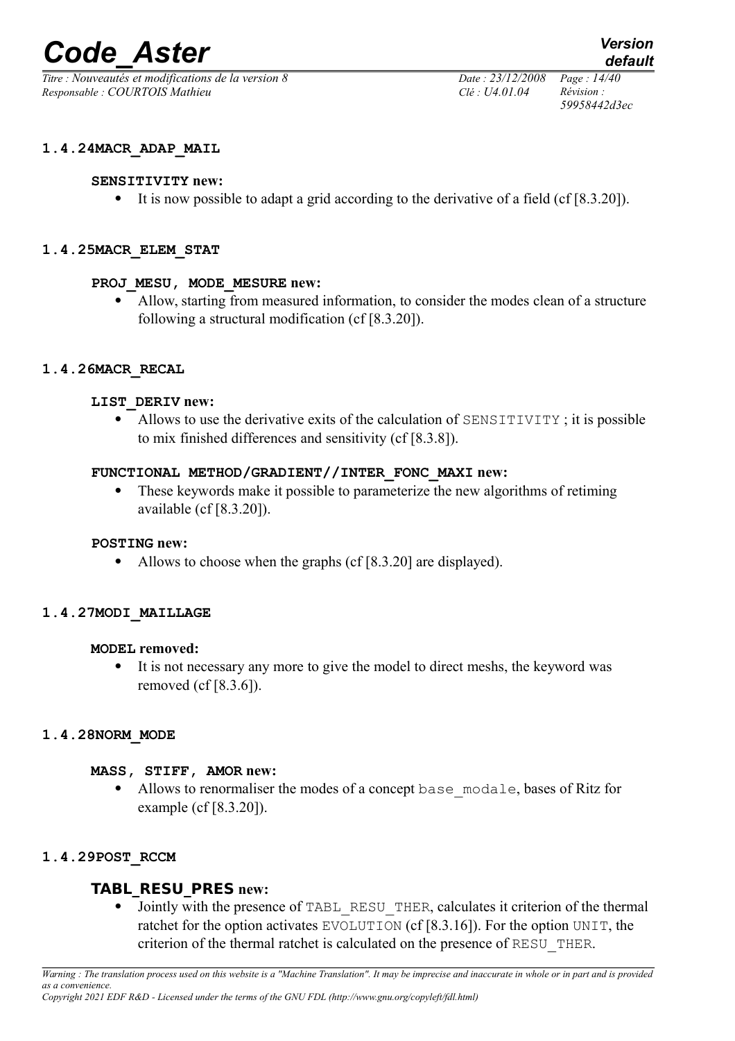*Titre : Nouveautés et modifications de la version 8 Date : 23/12/2008 Page : 14/40 Responsable : COURTOIS Mathieu Clé : U4.01.04 Révision :* 

*default 59958442d3ec*

**1.4.24MACR\_ADAP\_MAIL**

#### **SENSITIVITY new:**

It is now possible to adapt a grid according to the derivative of a field (cf [8.3.20]).

#### **1.4.25MACR\_ELEM\_STAT**

#### **PROJ\_MESU, MODE\_MESURE new:**

 Allow, starting from measured information, to consider the modes clean of a structure following a structural modification (cf [8.3.20]).

#### **1.4.26MACR\_RECAL**

#### **LIST\_DERIV new:**

 Allows to use the derivative exits of the calculation of SENSITIVITY ; it is possible to mix finished differences and sensitivity (cf [8.3.8]).

#### **FUNCTIONAL METHOD/GRADIENT//INTER\_FONC\_MAXI new:**

 These keywords make it possible to parameterize the new algorithms of retiming available (cf [8.3.20]).

#### **POSTING new:**

• Allows to choose when the graphs (cf [8.3.20] are displayed).

#### **1.4.27MODI\_MAILLAGE**

#### **MODEL removed:**

 It is not necessary any more to give the model to direct meshs, the keyword was removed (cf [8.3.6]).

#### **1.4.28NORM\_MODE**

#### **MASS, STIFF, AMOR new:**

• Allows to renormaliser the modes of a concept base modale, bases of Ritz for example (cf [8.3.20]).

#### **1.4.29POST\_RCCM**

## **TABL\_RESU\_PRES new:**

• Jointly with the presence of TABL RESU THER, calculates it criterion of the thermal ratchet for the option activates EVOLUTION (cf [8.3.16]). For the option UNIT, the criterion of the thermal ratchet is calculated on the presence of RESU\_THER.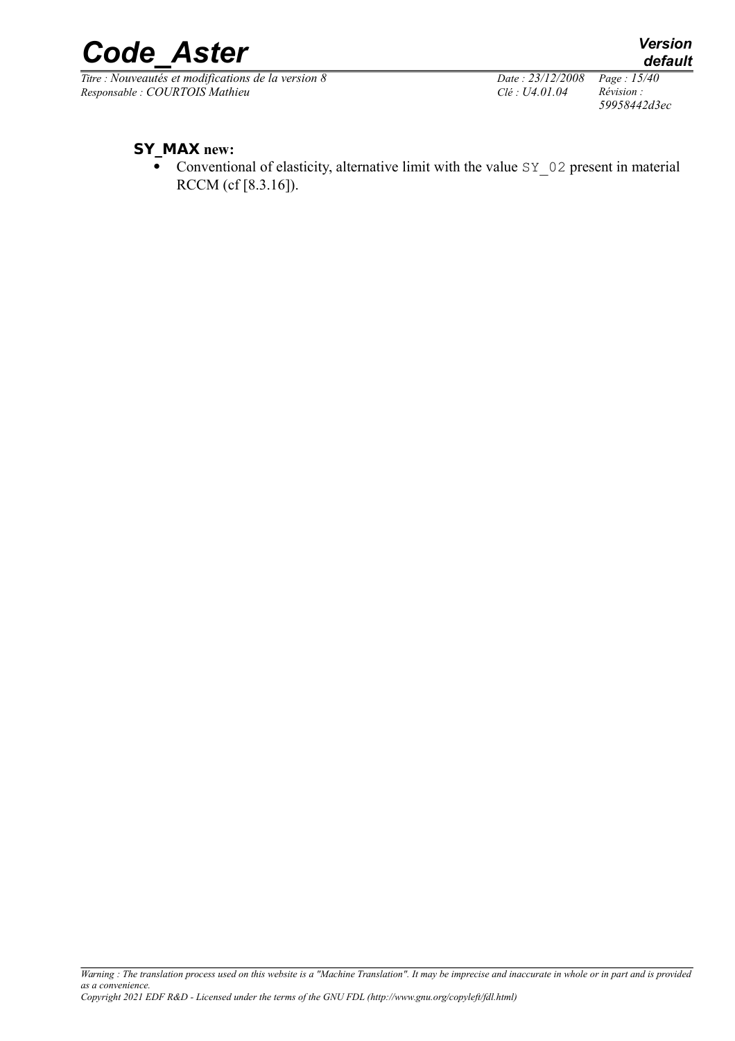*Titre : Nouveautés et modifications de la version 8 Date : 23/12/2008 Page : 15/40*<br> *Responsable : COURTOIS Mathieu Clé : U4.01.04 Révision : Responsable : COURTOIS Mathieu Clé : U4.01.04 Révision :* 

*59958442d3ec*

## **SY\_MAX new:**

Conventional of elasticity, alternative limit with the value  $SY$  02 present in material RCCM (cf [8.3.16]).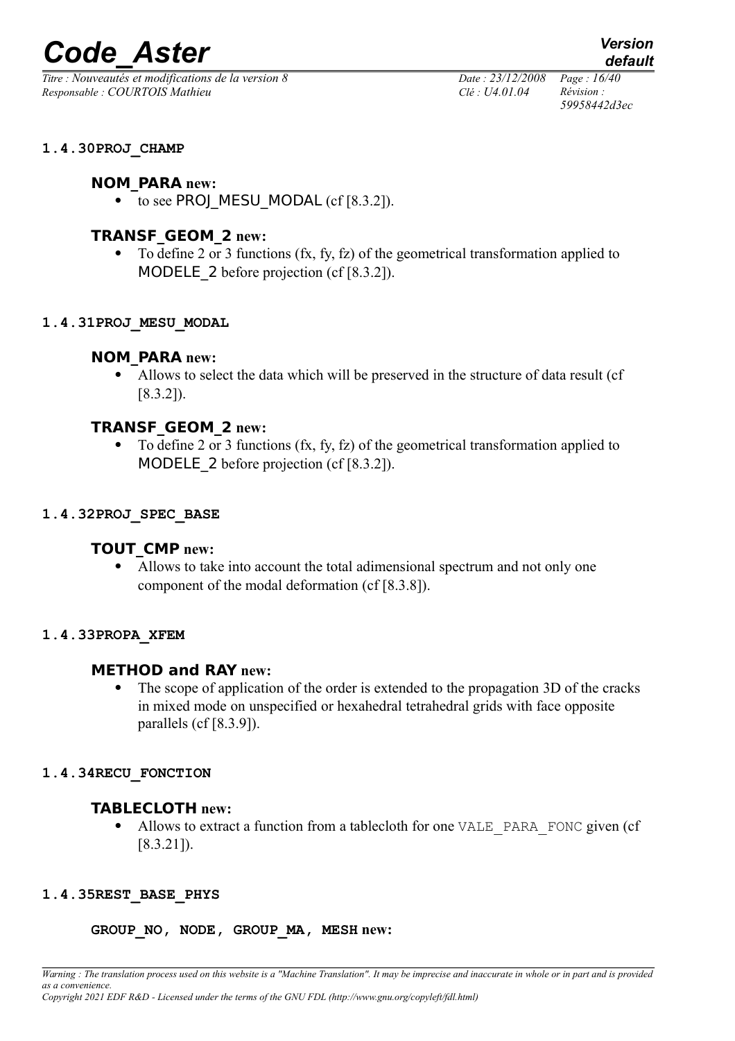*Titre : Nouveautés et modifications de la version 8 Date : 23/12/2008 Page : 16/40 Responsable : COURTOIS Mathieu Clé : U4.01.04 Révision :* 

*59958442d3ec*

#### **1.4.30PROJ\_CHAMP**

## **NOM\_PARA new:**

 $\bullet$  to see PROJ MESU MODAL (cf [8.3.2]).

## **TRANSF\_GEOM\_2 new:**

 To define 2 or 3 functions (fx, fy, fz) of the geometrical transformation applied to MODELE 2 before projection (cf [8.3.2]).

#### **1.4.31PROJ\_MESU\_MODAL**

## **NOM\_PARA new:**

 Allows to select the data which will be preserved in the structure of data result (cf [8.3.2]).

## **TRANSF\_GEOM\_2 new:**

 To define 2 or 3 functions (fx, fy, fz) of the geometrical transformation applied to MODELE 2 before projection (cf [8.3.2]).

#### **1.4.32PROJ\_SPEC\_BASE**

## **TOUT\_CMP new:**

 Allows to take into account the total adimensional spectrum and not only one component of the modal deformation (cf [8.3.8]).

#### **1.4.33PROPA\_XFEM**

## **METHOD and RAY new:**

• The scope of application of the order is extended to the propagation 3D of the cracks in mixed mode on unspecified or hexahedral tetrahedral grids with face opposite parallels (cf [8.3.9]).

#### **1.4.34RECU\_FONCTION**

## **TABLECLOTH new:**

Allows to extract a function from a tablecloth for one VALE\_PARA\_FONC given (cf [8.3.21]).

## **1.4.35REST\_BASE\_PHYS**

#### **GROUP\_NO, NODE, GROUP\_MA, MESH new:**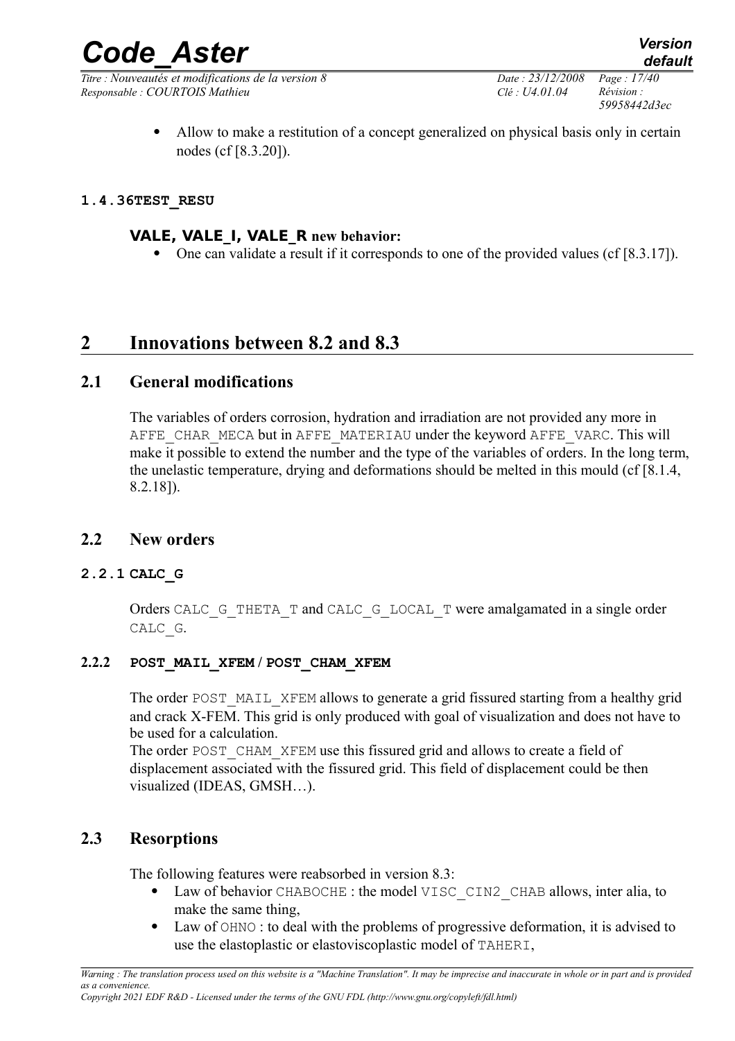*Titre : Nouveautés et modifications de la version 8 Date : 23/12/2008 Page : 17/40 Responsable : COURTOIS Mathieu Clé : U4.01.04 Révision :* 

*59958442d3ec*

 Allow to make a restitution of a concept generalized on physical basis only in certain nodes (cf [8.3.20]).

## **1.4.36TEST\_RESU**

## **VALE, VALE\_I, VALE\_R new behavior:**

• One can validate a result if it corresponds to one of the provided values (cf [8.3.17]).

## **2 Innovations between 8.2 and 8.3**

## **2.1 General modifications**

The variables of orders corrosion, hydration and irradiation are not provided any more in AFFE CHAR MECA but in AFFE\_MATERIAU under the keyword AFFE\_VARC. This will make it possible to extend the number and the type of the variables of orders. In the long term, the unelastic temperature, drying and deformations should be melted in this mould (cf [8.1.4, 8.2.18]).

## **2.2 New orders**

## **2.2.1 CALC\_G**

Orders CALC\_G\_THETA\_T and CALC\_G\_LOCAL\_T were amalgamated in a single order CALC\_G.

## **2.2.2 POST\_MAIL\_XFEM / POST\_CHAM\_XFEM**

The order POST\_MAIL\_XFEM allows to generate a grid fissured starting from a healthy grid and crack X-FEM. This grid is only produced with goal of visualization and does not have to be used for a calculation.

The order POST CHAM XFEM use this fissured grid and allows to create a field of displacement associated with the fissured grid. This field of displacement could be then visualized (IDEAS, GMSH…).

## **2.3 Resorptions**

The following features were reabsorbed in version 8.3:

- Law of behavior CHABOCHE : the model VISC CIN2 CHAB allows, inter alia, to make the same thing,
- Law of OHNO : to deal with the problems of progressive deformation, it is advised to use the elastoplastic or elastoviscoplastic model of TAHERI,

*Copyright 2021 EDF R&D - Licensed under the terms of the GNU FDL (http://www.gnu.org/copyleft/fdl.html)*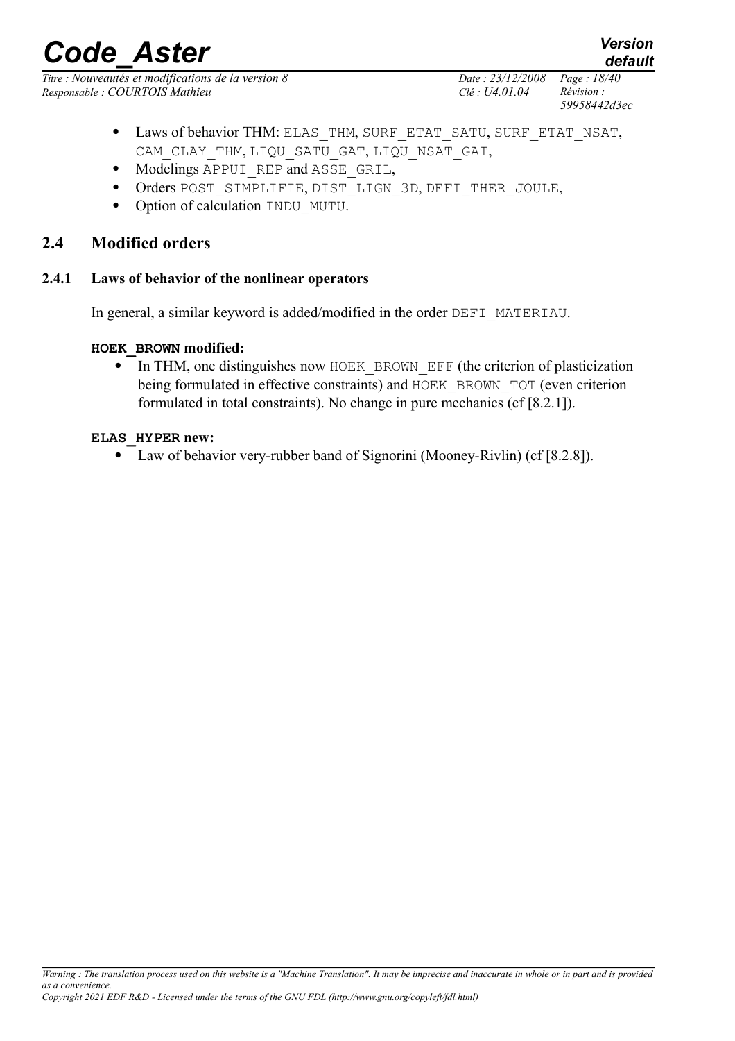*Titre : Nouveautés et modifications de la version 8 Date : 23/12/2008 Page : 18/40 Responsable : COURTOIS Mathieu Clé : U4.01.04 Révision :* 

*59958442d3ec*

- Laws of behavior THM: ELAS\_THM, SURF\_ETAT\_SATU, SURF\_ETAT\_NSAT, CAM\_CLAY\_THM, LIQU\_SATU\_GAT, LIQU\_NSAT\_GAT,
- Modelings APPUI REP and ASSE GRIL,
- Orders POST\_SIMPLIFIE, DIST\_LIGN\_3D, DEFI\_THER\_JOULE,
- Option of calculation INDU MUTU.

## **2.4 Modified orders**

#### **2.4.1 Laws of behavior of the nonlinear operators**

In general, a similar keyword is added/modified in the order DEFI\_MATERIAU.

#### **HOEK\_BROWN modified:**

• In THM, one distinguishes now HOEK BROWN EFF (the criterion of plasticization being formulated in effective constraints) and HOEK\_BROWN\_TOT (even criterion formulated in total constraints). No change in pure mechanics (cf [8.2.1]).

#### **ELAS\_HYPER new:**

Law of behavior very-rubber band of Signorini (Mooney-Rivlin) (cf [8.2.8]).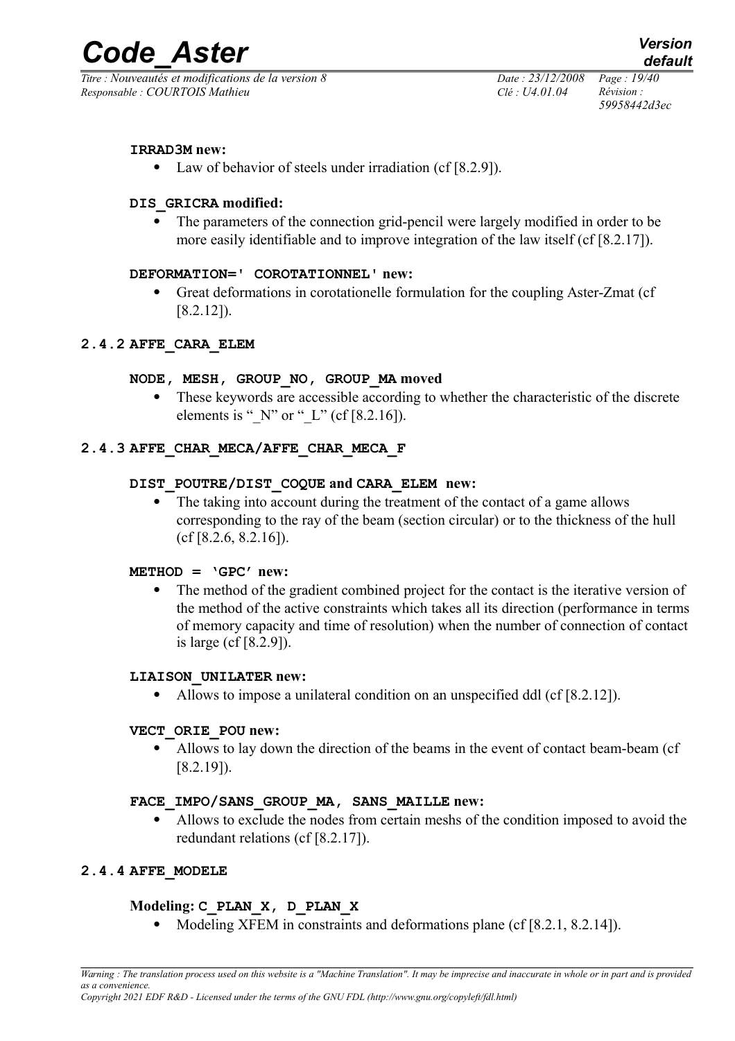*Titre : Nouveautés et modifications de la version 8 Date : 23/12/2008 Page : 19/40 Responsable : COURTOIS Mathieu Clé : U4.01.04 Révision :* 

*59958442d3ec*

#### **IRRAD3M new:**

• Law of behavior of steels under irradiation (cf [8.2.9]).

#### **DIS\_GRICRA modified:**

 The parameters of the connection grid-pencil were largely modified in order to be more easily identifiable and to improve integration of the law itself (cf [8.2.17]).

#### **DEFORMATION=' COROTATIONNEL' new:**

 Great deformations in corotationelle formulation for the coupling Aster-Zmat (cf [8.2.12]).

#### **2.4.2 AFFE\_CARA\_ELEM**

#### **NODE, MESH, GROUP\_NO, GROUP\_MA moved**

 These keywords are accessible according to whether the characteristic of the discrete elements is " $N$ " or " $L$ " (cf [8.2.16]).

## **2.4.3 AFFE\_CHAR\_MECA/AFFE\_CHAR\_MECA\_F**

#### **DIST\_POUTRE/DIST\_COQUE and CARA\_ELEM new:**

• The taking into account during the treatment of the contact of a game allows corresponding to the ray of the beam (section circular) or to the thickness of the hull (cf [8.2.6, 8.2.16]).

#### **METHOD = 'GPC' new:**

• The method of the gradient combined project for the contact is the iterative version of the method of the active constraints which takes all its direction (performance in terms of memory capacity and time of resolution) when the number of connection of contact is large (cf [8.2.9]).

#### **LIAISON\_UNILATER new:**

• Allows to impose a unilateral condition on an unspecified ddl (cf [8.2.12]).

#### **VECT\_ORIE\_POU new:**

 Allows to lay down the direction of the beams in the event of contact beam-beam (cf [8.2.19]).

#### **FACE\_IMPO/SANS\_GROUP\_MA, SANS\_MAILLE new:**

 Allows to exclude the nodes from certain meshs of the condition imposed to avoid the redundant relations (cf [8.2.17]).

## **2.4.4 AFFE\_MODELE**

## **Modeling: C\_PLAN\_X, D\_PLAN\_X**

• Modeling XFEM in constraints and deformations plane (cf [8.2.1, 8.2.14]).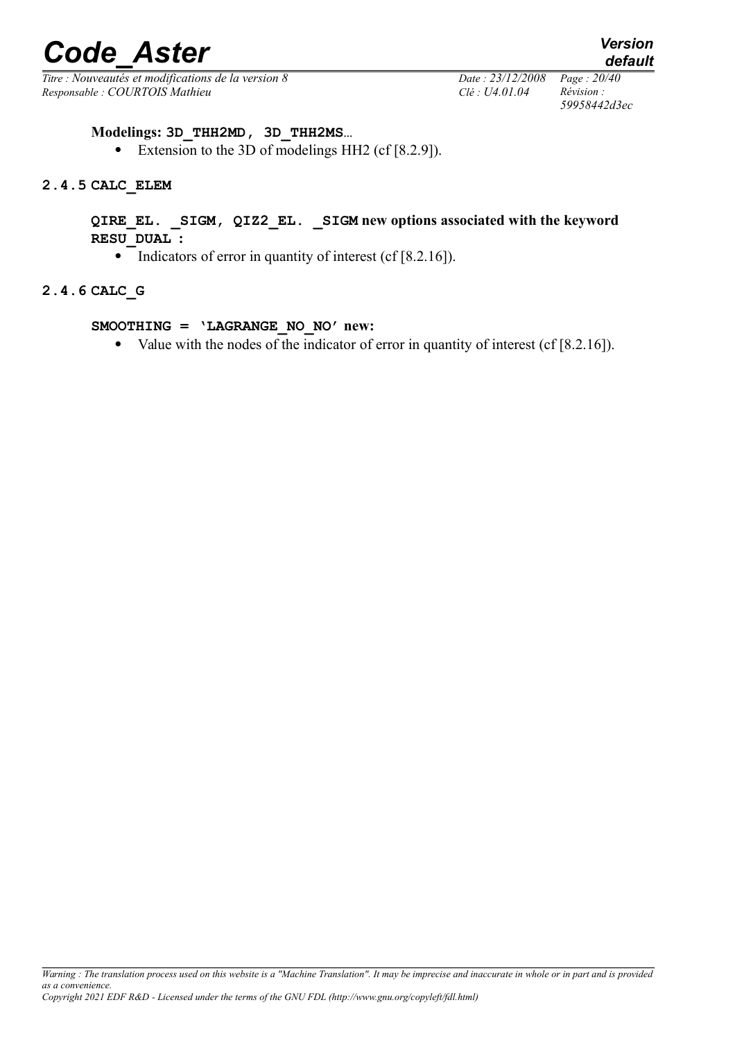*Titre : Nouveautés et modifications de la version 8 Date : 23/12/2008 Page : 20/40 Responsable : COURTOIS Mathieu Clé : U4.01.04 Révision :* 

# *59958442d3ec*

*default*

#### **Modelings: 3D\_THH2MD, 3D\_THH2MS…**

Extension to the 3D of modelings HH2 (cf [8.2.9]).

#### **2.4.5 CALC\_ELEM**

#### **QIRE\_EL. \_SIGM, QIZ2\_EL. \_SIGM new options associated with the keyword RESU\_DUAL :**

• Indicators of error in quantity of interest (cf  $[8.2.16]$ ).

#### **2.4.6 CALC\_G**

#### **SMOOTHING = 'LAGRANGE\_NO\_NO' new:**

• Value with the nodes of the indicator of error in quantity of interest (cf [8.2.16]).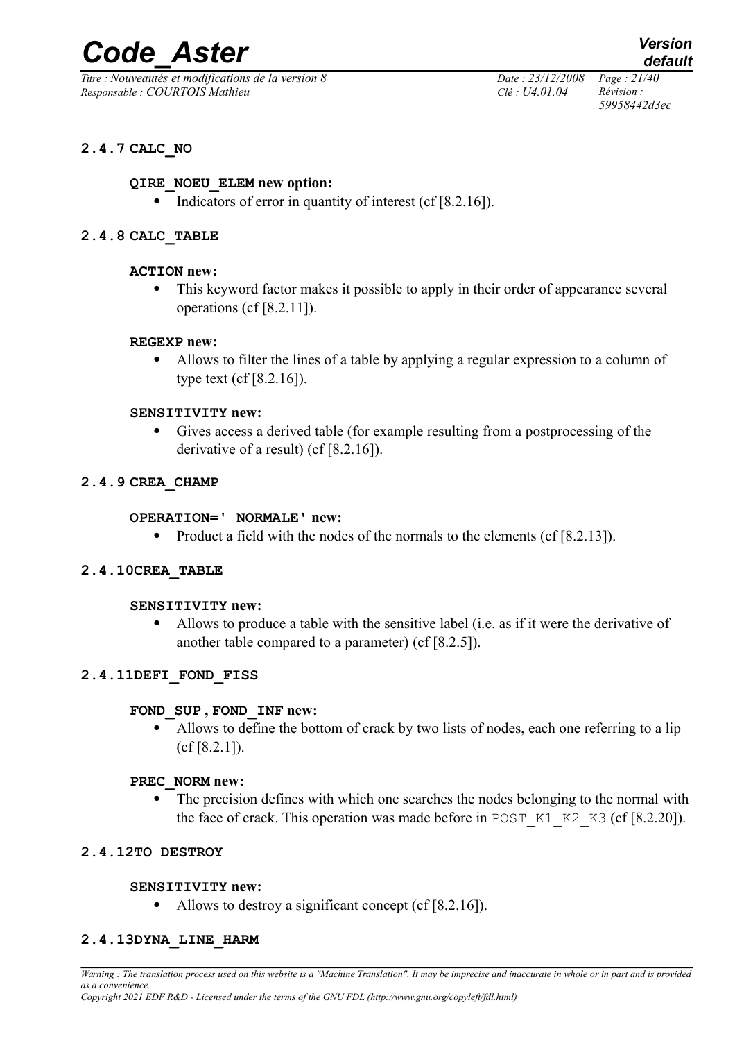*Titre : Nouveautés et modifications de la version 8 Date : 23/12/2008 Page : 21/40 Responsable : COURTOIS Mathieu Clé : U4.01.04 Révision :* 

*59958442d3ec*

## **2.4.7 CALC\_NO**

#### **QIRE\_NOEU\_ELEM new option:**

Indicators of error in quantity of interest (cf [8.2.16]).

#### **2.4.8 CALC\_TABLE**

#### **ACTION new:**

 This keyword factor makes it possible to apply in their order of appearance several operations (cf [8.2.11]).

#### **REGEXP new:**

 Allows to filter the lines of a table by applying a regular expression to a column of type text (cf [8.2.16]).

#### **SENSITIVITY new:**

 Gives access a derived table (for example resulting from a postprocessing of the derivative of a result) (cf [8.2.16]).

#### **2.4.9 CREA\_CHAMP**

#### **OPERATION=' NORMALE' new:**

• Product a field with the nodes of the normals to the elements (cf [8.2.13]).

#### **2.4.10CREA\_TABLE**

#### **SENSITIVITY new:**

 Allows to produce a table with the sensitive label (i.e. as if it were the derivative of another table compared to a parameter) (cf [8.2.5]).

#### **2.4.11DEFI\_FOND\_FISS**

#### **FOND\_SUP , FOND\_INF new:**

• Allows to define the bottom of crack by two lists of nodes, each one referring to a lip (cf [8.2.1]).

#### **PREC\_NORM new:**

• The precision defines with which one searches the nodes belonging to the normal with the face of crack. This operation was made before in POST  $K1_K2_K3$  (cf [8.2.20]).

#### **2.4.12TO DESTROY**

#### **SENSITIVITY new:**

• Allows to destroy a significant concept (cf [8.2.16]).

#### **2.4.13DYNA\_LINE\_HARM**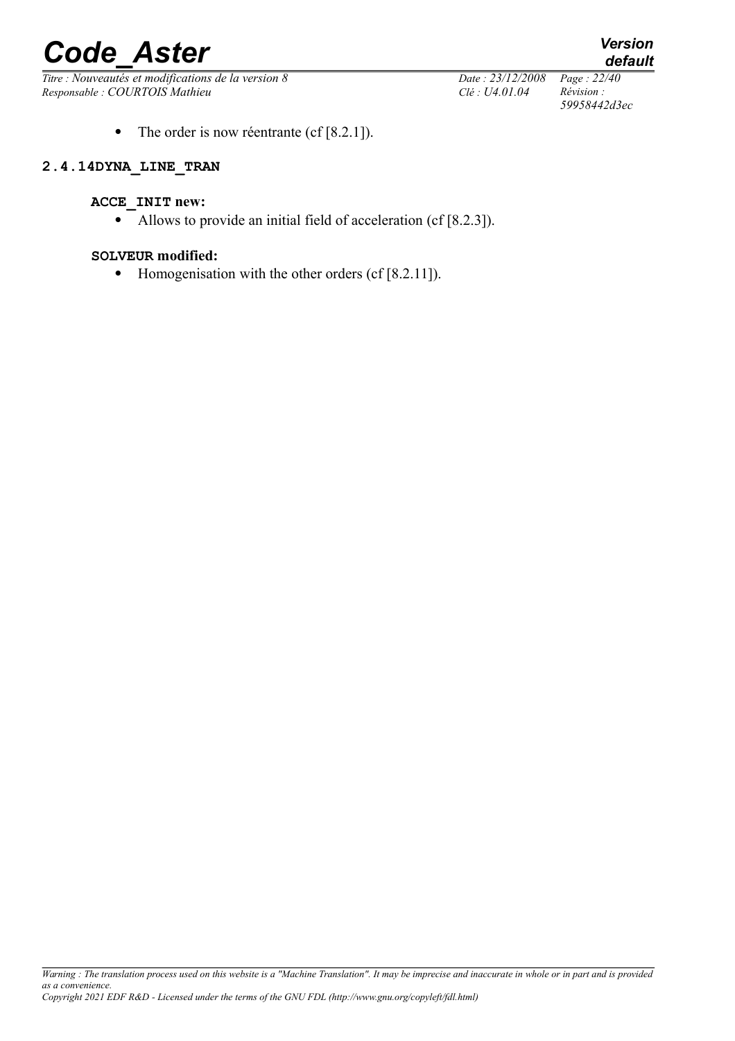*Titre : Nouveautés et modifications de la version 8 Date : 23/12/2008 Page : 22/40 Responsable : COURTOIS Mathieu Clé : U4.01.04 Révision :* 

• The order is now réentrante (cf  $[8.2.1]$ ).

#### **2.4.14DYNA\_LINE\_TRAN**

### **ACCE\_INIT new:**

Allows to provide an initial field of acceleration (cf [8.2.3]).

#### **SOLVEUR modified:**

• Homogenisation with the other orders (cf [8.2.11]).

*59958442d3ec*

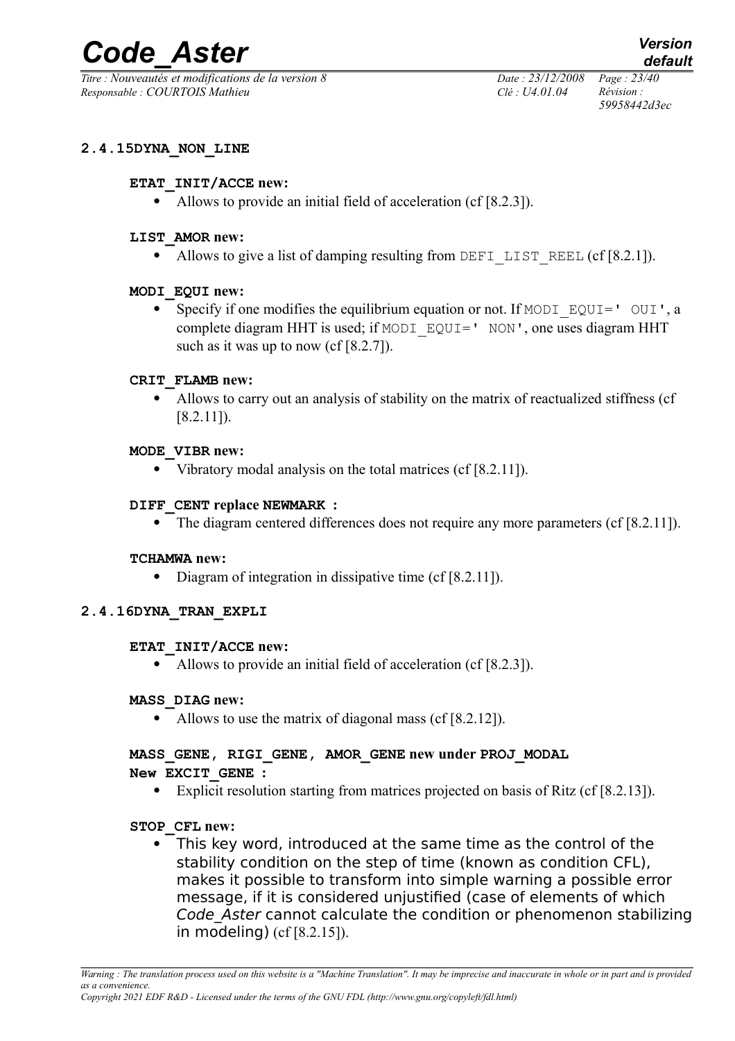*Titre : Nouveautés et modifications de la version 8 Date : 23/12/2008 Page : 23/40 Responsable : COURTOIS Mathieu Clé : U4.01.04 Révision :* 

*59958442d3ec*

#### **2.4.15DYNA\_NON\_LINE**

#### **ETAT\_INIT/ACCE new:**

• Allows to provide an initial field of acceleration (cf [8.2.3]).

#### **LIST\_AMOR new:**

Allows to give a list of damping resulting from DEFI LIST REEL (cf  $[8.2.1]$ ).

#### **MODI\_EQUI new:**

• Specify if one modifies the equilibrium equation or not. If MODI  $EQUI='$  OUI', a complete diagram HHT is used; if MODI\_EQUI=' NON', one uses diagram HHT such as it was up to now (cf [8.2.7]).

#### **CRIT\_FLAMB new:**

 Allows to carry out an analysis of stability on the matrix of reactualized stiffness (cf [8.2.11]).

#### **MODE\_VIBR new:**

• Vibratory modal analysis on the total matrices (cf [8.2.11]).

#### **DIFF\_CENT replace NEWMARK :**

• The diagram centered differences does not require any more parameters (cf [8.2.11]).

#### **TCHAMWA new:**

• Diagram of integration in dissipative time (cf [8.2.11]).

#### **2.4.16DYNA\_TRAN\_EXPLI**

#### **ETAT\_INIT/ACCE new:**

• Allows to provide an initial field of acceleration (cf [8.2.3]).

#### **MASS\_DIAG new:**

• Allows to use the matrix of diagonal mass (cf [8.2.12]).

## **MASS\_GENE, RIGI\_GENE, AMOR\_GENE new under PROJ\_MODAL**

## **New EXCIT\_GENE :**

Explicit resolution starting from matrices projected on basis of Ritz (cf [8.2.13]).

#### **STOP\_CFL new:**

 This key word, introduced at the same time as the control of the stability condition on the step of time (known as condition CFL), makes it possible to transform into simple warning a possible error message, if it is considered unjustified (case of elements of which Code Aster cannot calculate the condition or phenomenon stabilizing in modeling) (cf [8.2.15]).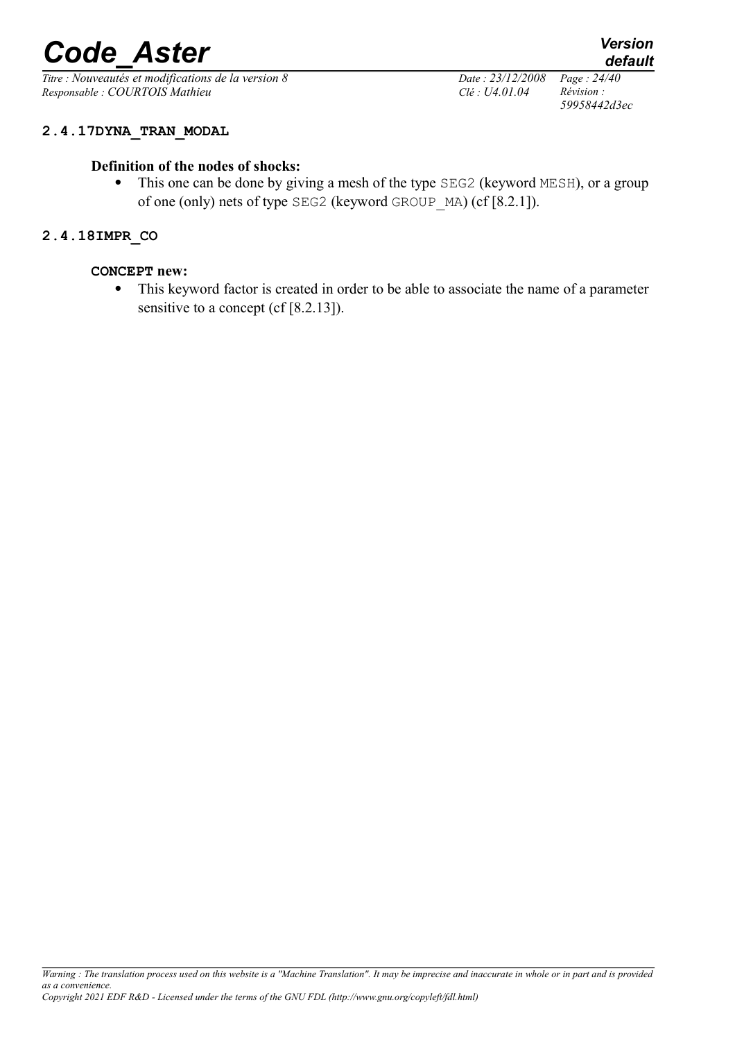*Titre : Nouveautés et modifications de la version 8 Date : 23/12/2008 Page : 24/40 Responsable : COURTOIS Mathieu Clé : U4.01.04 Révision :* 

*59958442d3ec*

## **2.4.17DYNA\_TRAN\_MODAL**

### **Definition of the nodes of shocks:**

• This one can be done by giving a mesh of the type SEG2 (keyword MESH), or a group of one (only) nets of type SEG2 (keyword GROUP\_MA) (cf [8.2.1]).

#### **2.4.18IMPR\_CO**

#### **CONCEPT new:**

 This keyword factor is created in order to be able to associate the name of a parameter sensitive to a concept (cf [8.2.13]).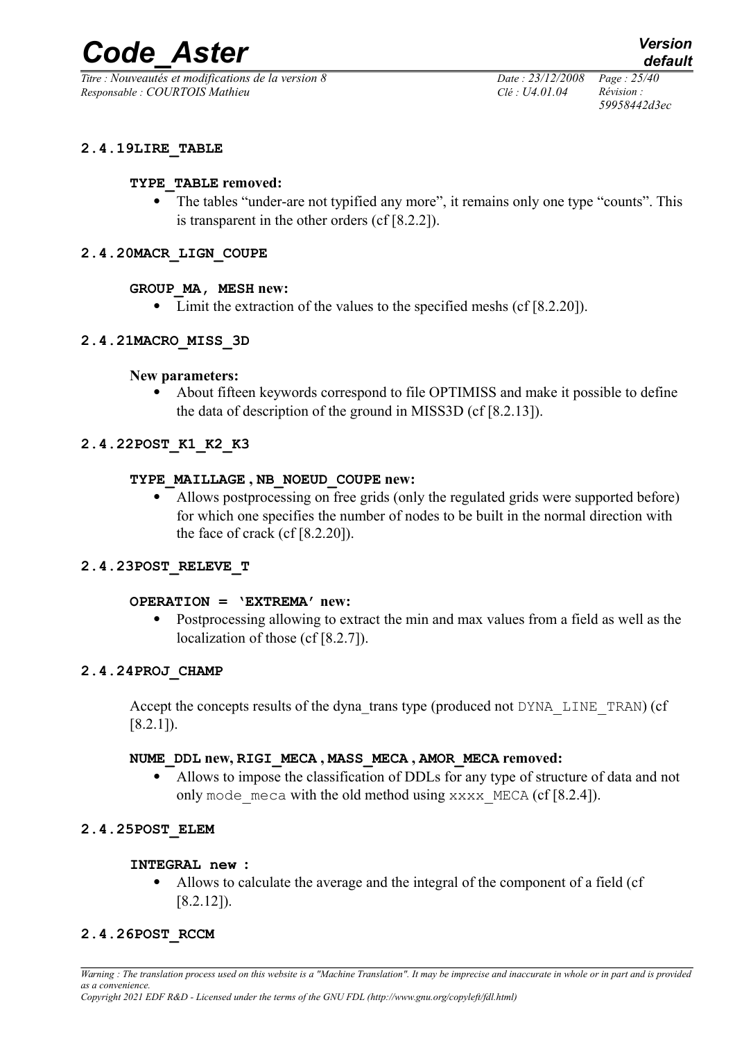*Titre : Nouveautés et modifications de la version 8 Date : 23/12/2008 Page : 25/40 Responsable : COURTOIS Mathieu Clé : U4.01.04 Révision :* 

*59958442d3ec*

#### **2.4.19LIRE\_TABLE**

#### **TYPE\_TABLE removed:**

• The tables "under-are not typified any more", it remains only one type "counts". This is transparent in the other orders (cf [8.2.2]).

#### **2.4.20MACR\_LIGN\_COUPE**

#### **GROUP\_MA, MESH new:**

• Limit the extraction of the values to the specified meshs (cf [8.2.20]).

#### **2.4.21MACRO\_MISS\_3D**

#### **New parameters:**

 About fifteen keywords correspond to file OPTIMISS and make it possible to define the data of description of the ground in MISS3D (cf [8.2.13]).

## **2.4.22POST\_K1\_K2\_K3**

#### **TYPE\_MAILLAGE , NB\_NOEUD\_COUPE new:**

 Allows postprocessing on free grids (only the regulated grids were supported before) for which one specifies the number of nodes to be built in the normal direction with the face of crack (cf [8.2.20]).

## **2.4.23POST\_RELEVE\_T**

#### **OPERATION = 'EXTREMA' new:**

 Postprocessing allowing to extract the min and max values from a field as well as the localization of those (cf [8.2.7]).

#### **2.4.24PROJ\_CHAMP**

Accept the concepts results of the dyna trans type (produced not DYNA LINE TRAN) (cf [8.2.1]).

#### **NUME\_DDL new, RIGI\_MECA , MASS\_MECA , AMOR\_MECA removed:**

 Allows to impose the classification of DDLs for any type of structure of data and not only mode meca with the old method using  $xxxx$  MECA (cf [8.2.4]).

#### **2.4.25POST\_ELEM**

#### **INTEGRAL new :**

 Allows to calculate the average and the integral of the component of a field (cf [8.2.12]).

#### **2.4.26POST\_RCCM**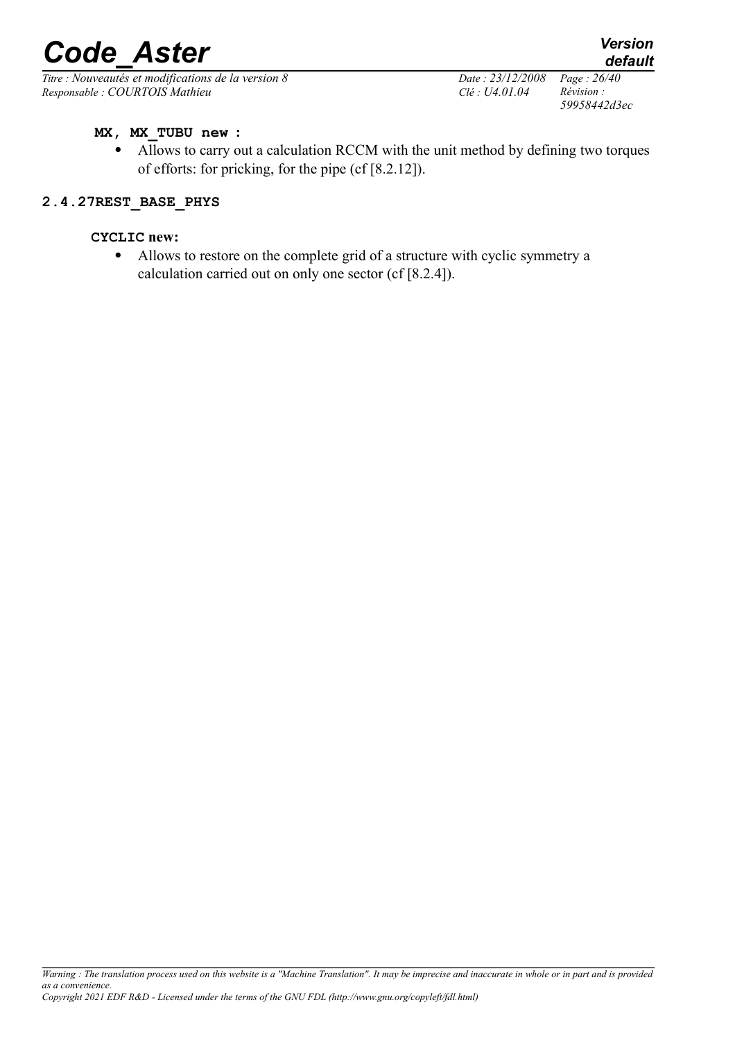*Titre : Nouveautés et modifications de la version 8 Date : 23/12/2008 Page : 26/40 Responsable : COURTOIS Mathieu Clé : U4.01.04 Révision :* 

*59958442d3ec*

*default*

#### **MX, MX\_TUBU new :**

 Allows to carry out a calculation RCCM with the unit method by defining two torques of efforts: for pricking, for the pipe (cf [8.2.12]).

#### **2.4.27REST\_BASE\_PHYS**

### **CYCLIC new:**

 Allows to restore on the complete grid of a structure with cyclic symmetry a calculation carried out on only one sector (cf [8.2.4]).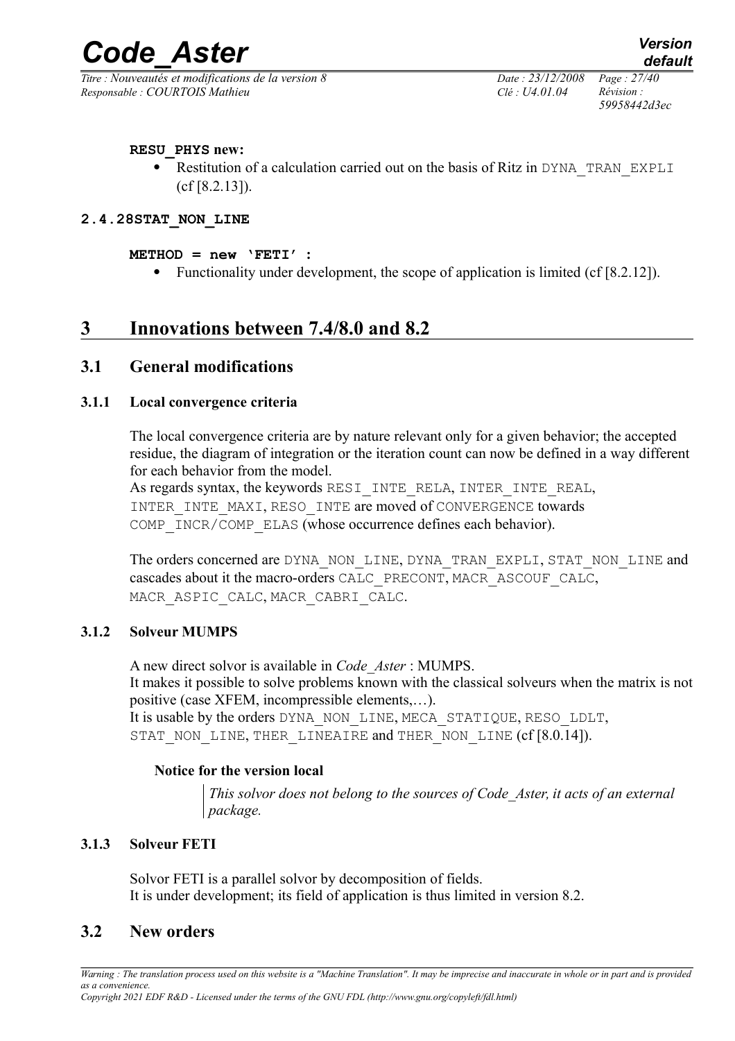*Titre : Nouveautés et modifications de la version 8 Date : 23/12/2008 Page : 27/40 Responsable : COURTOIS Mathieu Clé : U4.01.04 Révision :* 

*59958442d3ec*

#### **RESU\_PHYS new:**

Restitution of a calculation carried out on the basis of Ritz in DYNA\_TRAN\_EXPLI (cf [8.2.13]).

#### **2.4.28STAT\_NON\_LINE**

#### $METHOD = new \nvert TFT'$  :

• Functionality under development, the scope of application is limited (cf [8.2.12]).

## **3 Innovations between 7.4/8.0 and 8.2**

## **3.1 General modifications**

#### **3.1.1 Local convergence criteria**

The local convergence criteria are by nature relevant only for a given behavior; the accepted residue, the diagram of integration or the iteration count can now be defined in a way different for each behavior from the model.

As regards syntax, the keywords RESI INTE\_RELA, INTER\_INTE\_REAL, INTER INTE\_MAXI, RESO\_INTE are moved of CONVERGENCE towards COMP\_INCR/COMP\_ELAS (whose occurrence defines each behavior).

The orders concerned are DYNA\_NON\_LINE, DYNA\_TRAN\_EXPLI, STAT\_NON\_LINE and cascades about it the macro-orders CALC\_PRECONT, MACR\_ASCOUF\_CALC, MACR\_ASPIC\_CALC, MACR\_CABRI\_CALC.

#### **3.1.2 Solveur MUMPS**

A new direct solvor is available in *Code\_Aster* : MUMPS. It makes it possible to solve problems known with the classical solveurs when the matrix is not positive (case XFEM, incompressible elements,…). It is usable by the orders DYNA\_NON\_LINE, MECA\_STATIQUE, RESO\_LDLT, STAT\_NON\_LINE, THER\_LINEAIRE and THER\_NON\_LINE (cf [8.0.14]).

#### **Notice for the version local**

*This solvor does not belong to the sources of Code\_Aster, it acts of an external package.*

#### **3.1.3 Solveur FETI**

Solvor FETI is a parallel solvor by decomposition of fields. It is under development; its field of application is thus limited in version 8.2.

## **3.2 New orders**

*Warning : The translation process used on this website is a "Machine Translation". It may be imprecise and inaccurate in whole or in part and is provided as a convenience.*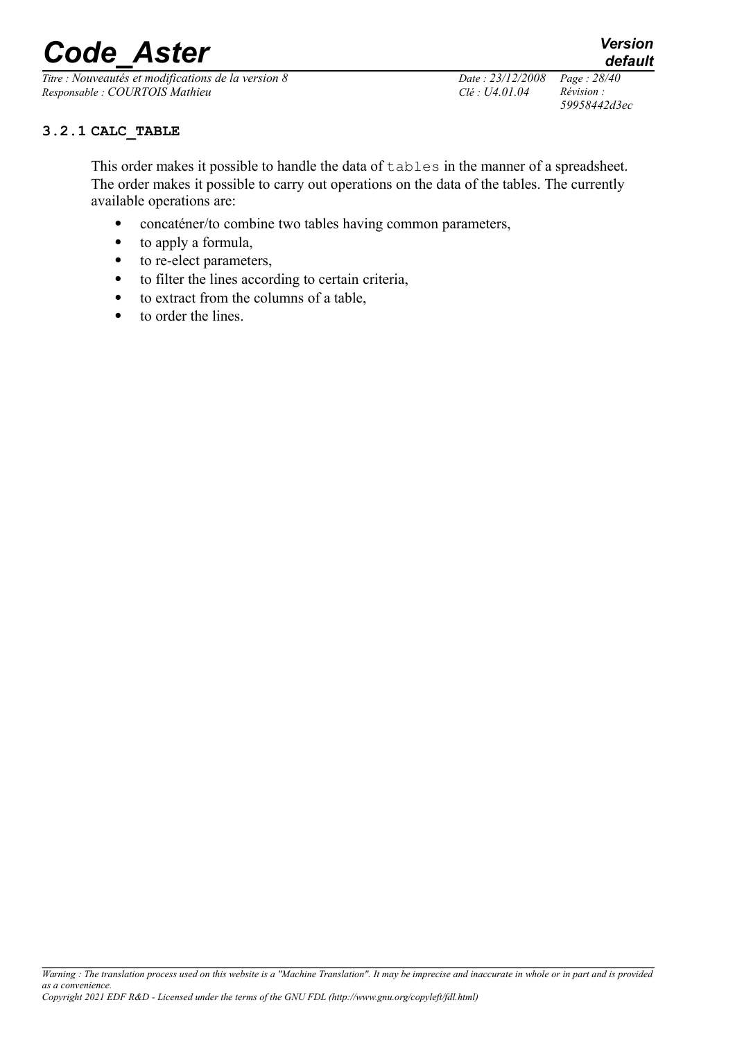*Titre : Nouveautés et modifications de la version 8 Date : 23/12/2008 Page : 28/40 Responsable : COURTOIS Mathieu Clé : U4.01.04 Révision :* 

*59958442d3ec*

*default*

**3.2.1 CALC\_TABLE**

This order makes it possible to handle the data of  $t$  ables in the manner of a spreadsheet. The order makes it possible to carry out operations on the data of the tables. The currently available operations are:

- concaténer/to combine two tables having common parameters,
- to apply a formula,
- to re-elect parameters,
- to filter the lines according to certain criteria,
- to extract from the columns of a table,
- to order the lines.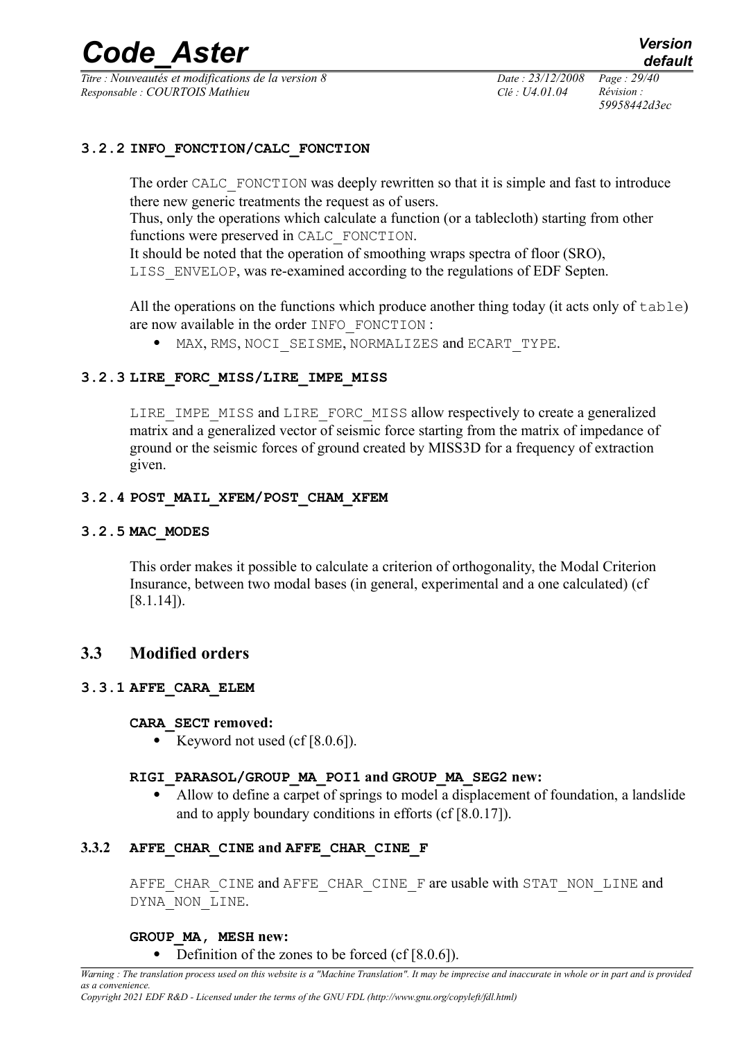*Titre : Nouveautés et modifications de la version 8 Date : 23/12/2008 Page : 29/40 Responsable : COURTOIS Mathieu Clé : U4.01.04 Révision :* 

*59958442d3ec*

#### **3.2.2 INFO\_FONCTION/CALC\_FONCTION**

The order CALC FONCTION was deeply rewritten so that it is simple and fast to introduce there new generic treatments the request as of users.

Thus, only the operations which calculate a function (or a tablecloth) starting from other functions were preserved in CALC\_FONCTION.

It should be noted that the operation of smoothing wraps spectra of floor (SRO), LISS\_ENVELOP, was re-examined according to the regulations of EDF Septen.

All the operations on the functions which produce another thing today (it acts only of table) are now available in the order INFO\_FONCTION :

 $\bullet$  MAX, RMS, NOCI SEISME, NORMALIZES and ECART TYPE.

## **3.2.3 LIRE\_FORC\_MISS/LIRE\_IMPE\_MISS**

LIRE IMPE MISS and LIRE FORC MISS allow respectively to create a generalized matrix and a generalized vector of seismic force starting from the matrix of impedance of ground or the seismic forces of ground created by MISS3D for a frequency of extraction given.

#### **3.2.4 POST\_MAIL\_XFEM/POST\_CHAM\_XFEM**

#### **3.2.5 MAC\_MODES**

This order makes it possible to calculate a criterion of orthogonality, the Modal Criterion Insurance, between two modal bases (in general, experimental and a one calculated) (cf [8.1.14]).

## **3.3 Modified orders**

#### **3.3.1 AFFE\_CARA\_ELEM**

#### **CARA\_SECT removed:**

Exercise Keyword not used (cf  $[8.0.6]$ ).

#### **RIGI\_PARASOL/GROUP\_MA\_POI1 and GROUP\_MA\_SEG2 new:**

 Allow to define a carpet of springs to model a displacement of foundation, a landslide and to apply boundary conditions in efforts (cf [8.0.17]).

#### **3.3.2 AFFE\_CHAR\_CINE and AFFE\_CHAR\_CINE\_F**

AFFE\_CHAR\_CINE and AFFE\_CHAR\_CINE\_F are usable with STAT\_NON\_LINE and DYNA\_NON\_LINE.

#### **GROUP\_MA, MESH new:**

#### • Definition of the zones to be forced (cf [8.0.6]).

*Warning : The translation process used on this website is a "Machine Translation". It may be imprecise and inaccurate in whole or in part and is provided as a convenience.*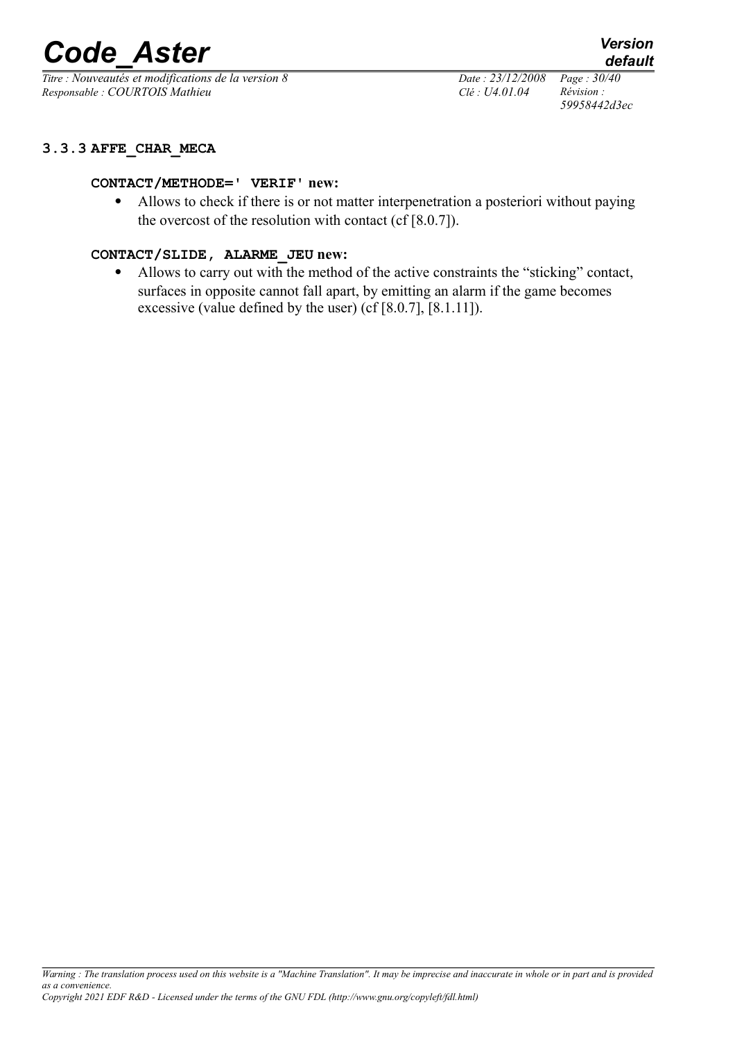*Titre : Nouveautés et modifications de la version 8 Date : 23/12/2008 Page : 30/40 Responsable : COURTOIS Mathieu Clé : U4.01.04 Révision :* 

*59958442d3ec*

#### **3.3.3 AFFE\_CHAR\_MECA**

#### **CONTACT/METHODE=' VERIF' new:**

 Allows to check if there is or not matter interpenetration a posteriori without paying the overcost of the resolution with contact (cf [8.0.7]).

#### **CONTACT/SLIDE, ALARME\_JEU new:**

 Allows to carry out with the method of the active constraints the "sticking" contact, surfaces in opposite cannot fall apart, by emitting an alarm if the game becomes excessive (value defined by the user) (cf [8.0.7], [8.1.11]).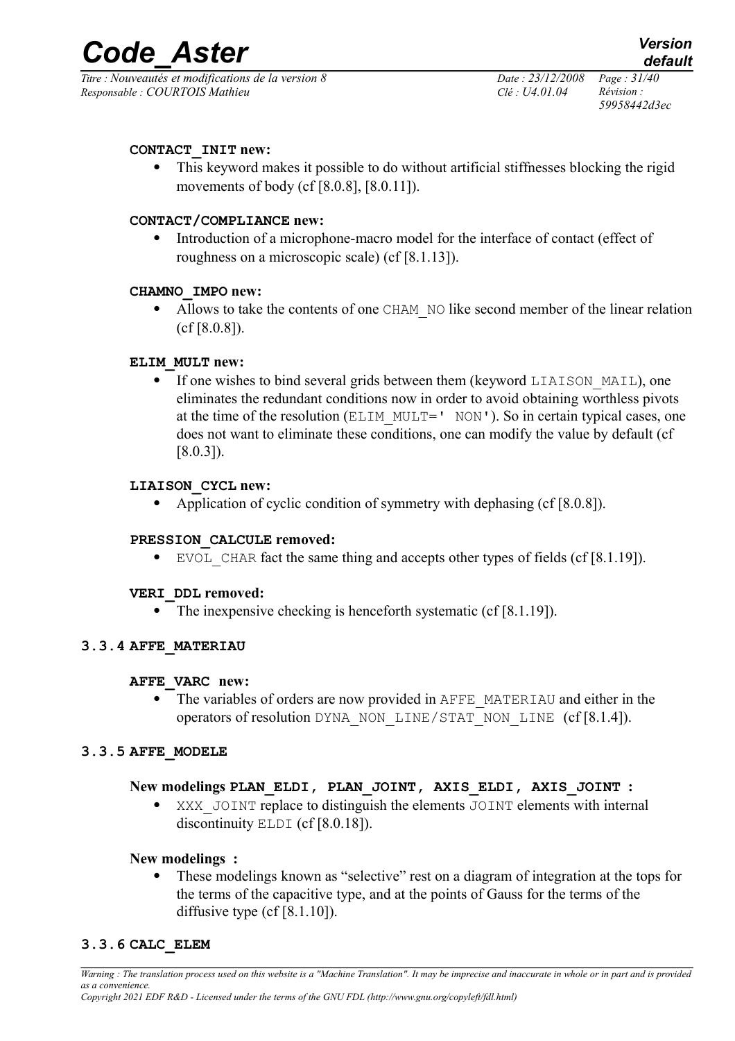*Titre : Nouveautés et modifications de la version 8 Date : 23/12/2008 Page : 31/40 Responsable : COURTOIS Mathieu Clé : U4.01.04 Révision :* 

*59958442d3ec*

### **CONTACT\_INIT new:**

 This keyword makes it possible to do without artificial stiffnesses blocking the rigid movements of body (cf [8.0.8], [8.0.11]).

#### **CONTACT/COMPLIANCE new:**

 Introduction of a microphone-macro model for the interface of contact (effect of roughness on a microscopic scale) (cf [8.1.13]).

#### **CHAMNO\_IMPO new:**

• Allows to take the contents of one CHAM NO like second member of the linear relation (cf [8.0.8]).

#### **ELIM\_MULT new:**

• If one wishes to bind several grids between them (keyword LIAISON MAIL), one eliminates the redundant conditions now in order to avoid obtaining worthless pivots at the time of the resolution (ELIM\_MULT=' NON'). So in certain typical cases, one does not want to eliminate these conditions, one can modify the value by default (cf  $[8.0.3]$ .

#### **LIAISON\_CYCL new:**

• Application of cyclic condition of symmetry with dephasing (cf [8.0.8]).

#### **PRESSION\_CALCULE removed:**

EVOL CHAR fact the same thing and accepts other types of fields (cf  $[8.1.19]$ ).

#### **VERI\_DDL removed:**

• The inexpensive checking is henceforth systematic (cf [8.1.19]).

#### **3.3.4 AFFE\_MATERIAU**

#### **AFFE\_VARC new:**

 The variables of orders are now provided in AFFE\_MATERIAU and either in the operators of resolution DYNA\_NON\_LINE/STAT\_NON\_LINE (cf [8.1.4]).

#### **3.3.5 AFFE\_MODELE**

#### **New modelings PLAN\_ELDI, PLAN\_JOINT, AXIS\_ELDI, AXIS\_JOINT :**

XXX JOINT replace to distinguish the elements JOINT elements with internal discontinuity ELDI (cf [8.0.18]).

#### **New modelings :**

 These modelings known as "selective" rest on a diagram of integration at the tops for the terms of the capacitive type, and at the points of Gauss for the terms of the diffusive type (cf  $[8.1.10]$ ).

#### **3.3.6 CALC\_ELEM**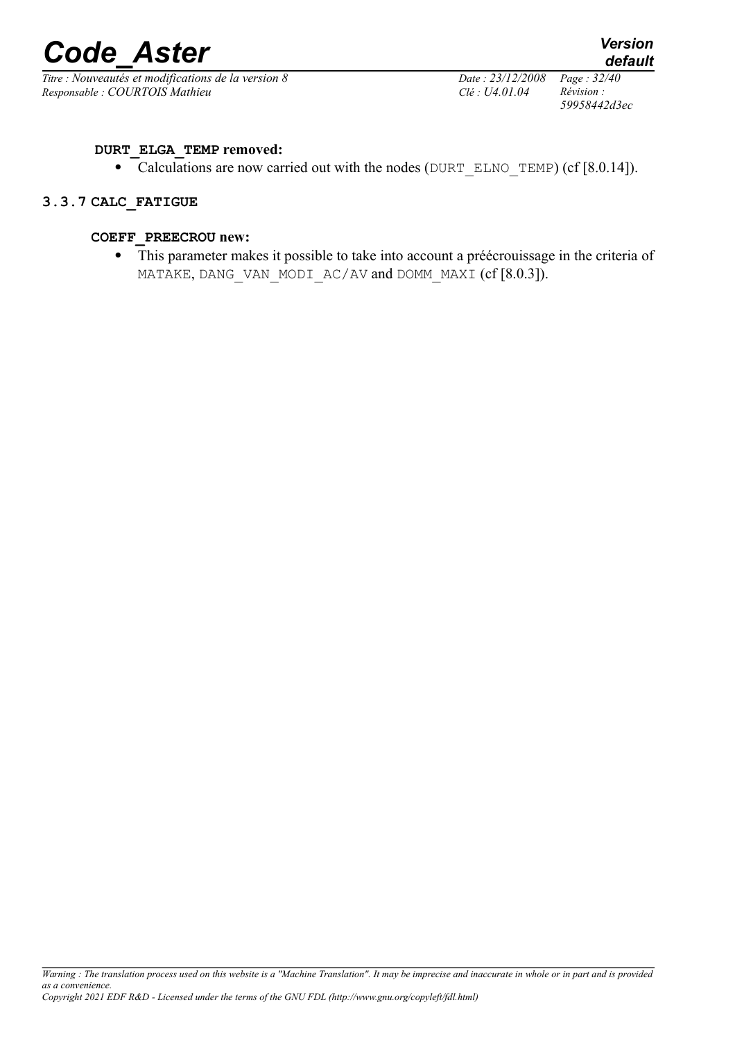

*Titre : Nouveautés et modifications de la version 8 Date : 23/12/2008 Page : 32/40 Responsable : COURTOIS Mathieu Clé : U4.01.04 Révision :* 

*59958442d3ec*

#### **DURT\_ELGA\_TEMP removed:**

• Calculations are now carried out with the nodes (DURT ELNO TEMP) (cf  $[8.0.14]$ ).

#### **3.3.7 CALC\_FATIGUE**

#### **COEFF\_PREECROU new:**

 This parameter makes it possible to take into account a préécrouissage in the criteria of MATAKE, DANG\_VAN\_MODI\_AC/AV and DOMM\_MAXI (cf [8.0.3]).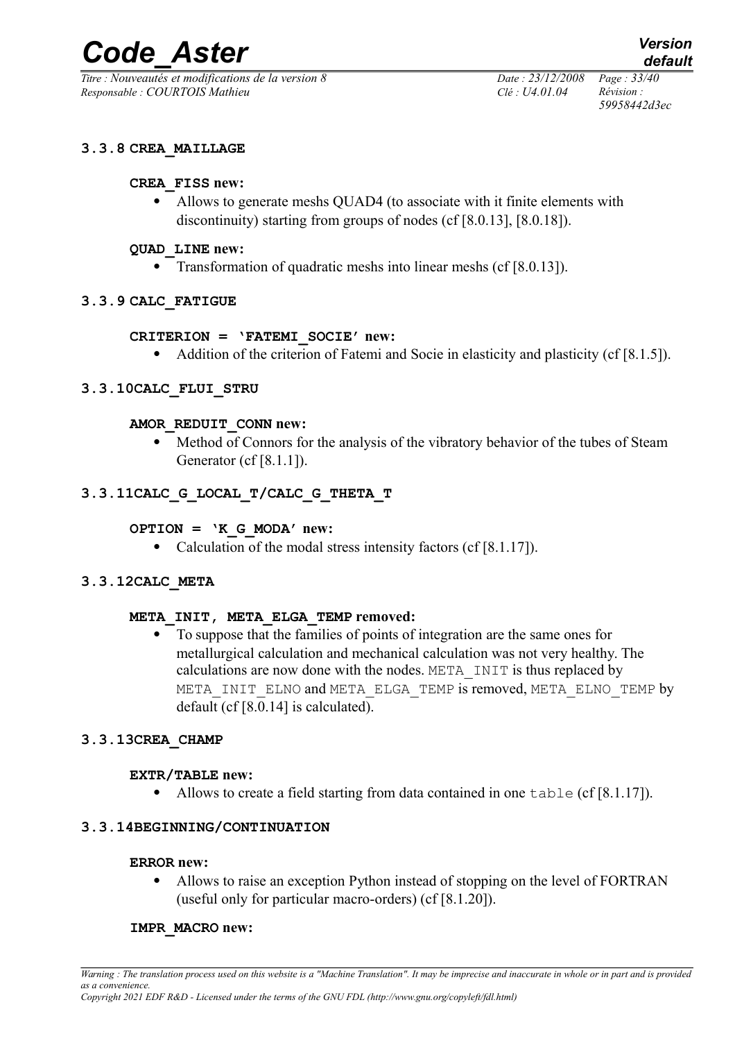*Titre : Nouveautés et modifications de la version 8 Date : 23/12/2008 Page : 33/40 Responsable : COURTOIS Mathieu Clé : U4.01.04 Révision :* 

*59958442d3ec*

#### **3.3.8 CREA\_MAILLAGE**

#### **CREA\_FISS new:**

 Allows to generate meshs QUAD4 (to associate with it finite elements with discontinuity) starting from groups of nodes (cf [8.0.13], [8.0.18]).

#### **QUAD\_LINE new:**

• Transformation of quadratic meshs into linear meshs (cf [8.0.13]).

#### **3.3.9 CALC\_FATIGUE**

#### **CRITERION = 'FATEMI\_SOCIE' new:**

• Addition of the criterion of Fatemi and Socie in elasticity and plasticity (cf [8.1.5]).

#### **3.3.10CALC\_FLUI\_STRU**

#### **AMOR\_REDUIT\_CONN new:**

• Method of Connors for the analysis of the vibratory behavior of the tubes of Steam Generator (cf [8.1.1]).

## **3.3.11CALC\_G\_LOCAL\_T/CALC\_G\_THETA\_T**

#### **OPTION = 'K\_G\_MODA' new:**

• Calculation of the modal stress intensity factors (cf [8.1.17]).

#### **3.3.12CALC\_META**

#### **META\_INIT, META\_ELGA\_TEMP removed:**

 To suppose that the families of points of integration are the same ones for metallurgical calculation and mechanical calculation was not very healthy. The calculations are now done with the nodes. META\_INIT is thus replaced by META INIT ELNO and META ELGA TEMP is removed, META ELNO TEMP by default (cf [8.0.14] is calculated).

#### **3.3.13CREA\_CHAMP**

#### **EXTR/TABLE new:**

• Allows to create a field starting from data contained in one  $\text{table}$  (cf [8.1.17]).

#### **3.3.14BEGINNING/CONTINUATION**

#### **ERROR new:**

• Allows to raise an exception Python instead of stopping on the level of FORTRAN (useful only for particular macro-orders) (cf [8.1.20]).

#### **IMPR\_MACRO new:**

*Warning : The translation process used on this website is a "Machine Translation". It may be imprecise and inaccurate in whole or in part and is provided as a convenience.*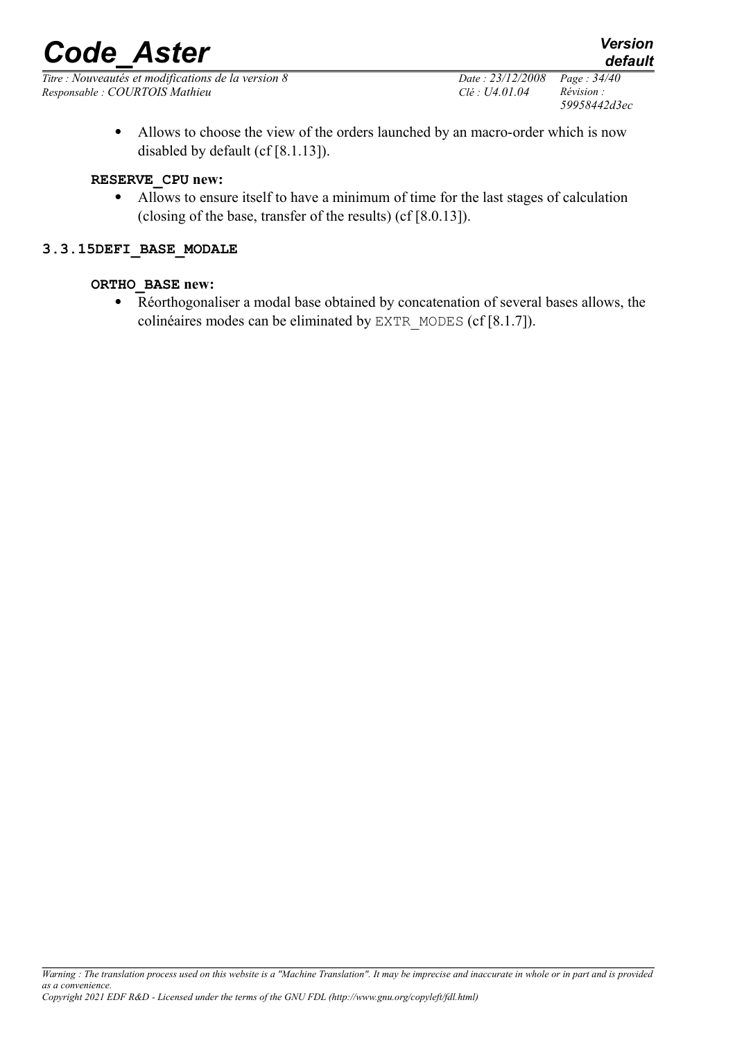*Titre : Nouveautés et modifications de la version 8 Date : 23/12/2008 Page : 34/40 Responsable : COURTOIS Mathieu Clé : U4.01.04 Révision :* 

*59958442d3ec*

 Allows to choose the view of the orders launched by an macro-order which is now disabled by default (cf [8.1.13]).

#### **RESERVE\_CPU new:**

 Allows to ensure itself to have a minimum of time for the last stages of calculation (closing of the base, transfer of the results) (cf [8.0.13]).

### **3.3.15DEFI\_BASE\_MODALE**

#### **ORTHO\_BASE new:**

 Réorthogonaliser a modal base obtained by concatenation of several bases allows, the colinéaires modes can be eliminated by EXTR\_MODES (cf [8.1.7]).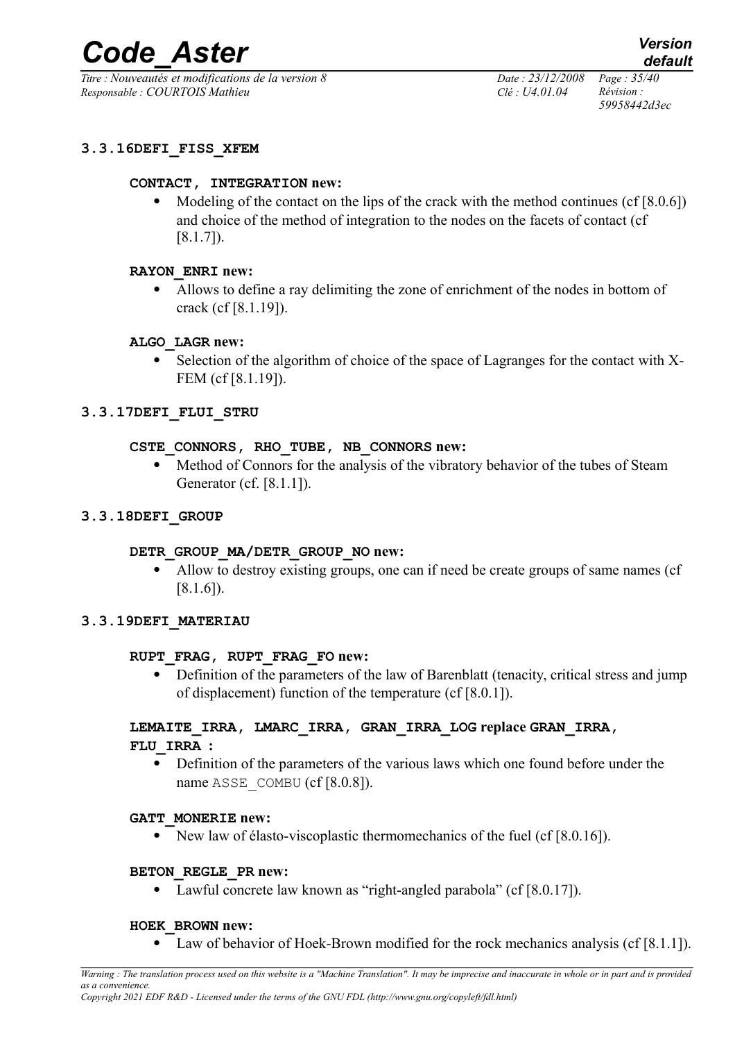*Titre : Nouveautés et modifications de la version 8 Date : 23/12/2008 Page : 35/40 Responsable : COURTOIS Mathieu Clé : U4.01.04 Révision :* 

*59958442d3ec*

### **3.3.16DEFI\_FISS\_XFEM**

#### **CONTACT, INTEGRATION new:**

• Modeling of the contact on the lips of the crack with the method continues  $(cf[8.0.6])$ and choice of the method of integration to the nodes on the facets of contact (cf [8.1.7]).

#### **RAYON\_ENRI new:**

 Allows to define a ray delimiting the zone of enrichment of the nodes in bottom of crack (cf [8.1.19]).

#### **ALGO\_LAGR new:**

 Selection of the algorithm of choice of the space of Lagranges for the contact with X-FEM (cf [8.1.19]).

#### **3.3.17DEFI\_FLUI\_STRU**

#### **CSTE\_CONNORS, RHO\_TUBE, NB\_CONNORS new:**

 Method of Connors for the analysis of the vibratory behavior of the tubes of Steam Generator (cf. [8.1.1]).

#### **3.3.18DEFI\_GROUP**

#### **DETR\_GROUP\_MA/DETR\_GROUP\_NO new:**

 Allow to destroy existing groups, one can if need be create groups of same names (cf [8.1.6]).

#### **3.3.19DEFI\_MATERIAU**

#### **RUPT\_FRAG, RUPT\_FRAG\_FO new:**

• Definition of the parameters of the law of Barenblatt (tenacity, critical stress and jump of displacement) function of the temperature (cf [8.0.1]).

#### **LEMAITE\_IRRA, LMARC\_IRRA, GRAN\_IRRA\_LOG replace GRAN\_IRRA, FLU\_IRRA :**

 Definition of the parameters of the various laws which one found before under the name ASSE\_COMBU (cf [8.0.8]).

#### **GATT\_MONERIE new:**

• New law of élasto-viscoplastic thermomechanics of the fuel (cf [8.0.16]).

#### **BETON\_REGLE\_PR new:**

Lawful concrete law known as "right-angled parabola" (cf [8.0.17]).

#### **HOEK\_BROWN new:**

Law of behavior of Hoek-Brown modified for the rock mechanics analysis (cf [8.1.1]).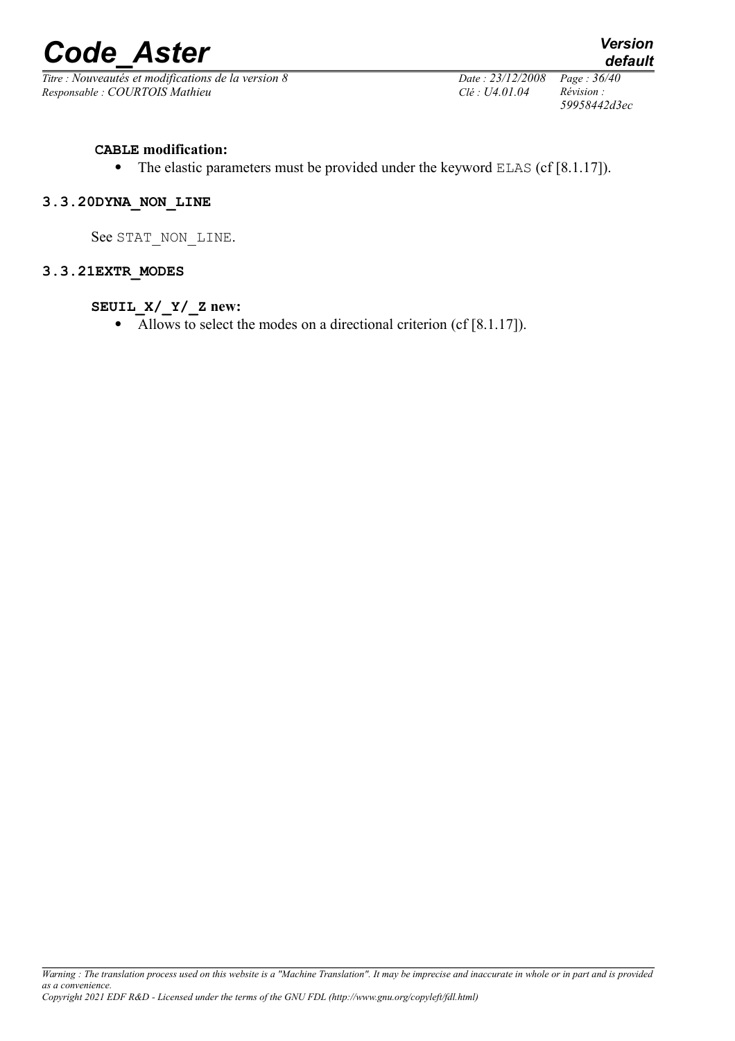

*Titre : Nouveautés et modifications de la version 8 Date : 23/12/2008 Page : 36/40 Responsable : COURTOIS Mathieu Clé : U4.01.04 Révision :* 

*59958442d3ec*

#### **CABLE modification:**

• The elastic parameters must be provided under the keyword ELAS (cf [8.1.17]).

#### **3.3.20DYNA\_NON\_LINE**

See STAT\_NON\_LINE.

#### **3.3.21EXTR\_MODES**

#### **SEUIL\_X/\_Y/\_Z new:**

• Allows to select the modes on a directional criterion (cf [8.1.17]).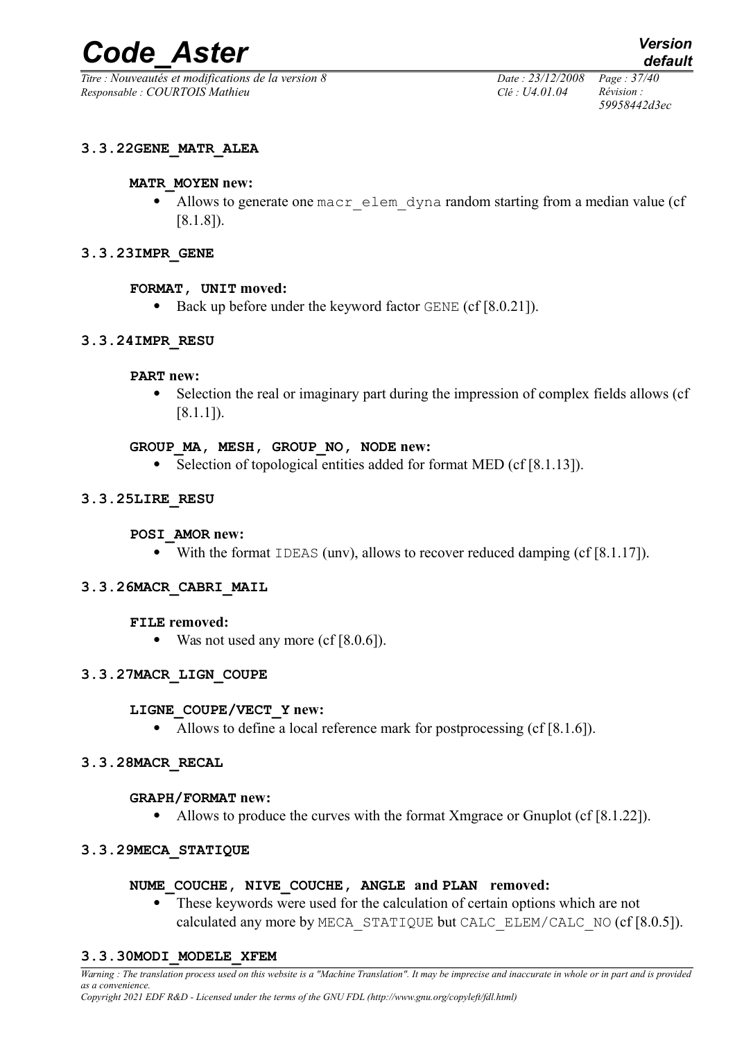*Titre : Nouveautés et modifications de la version 8 Date : 23/12/2008 Page : 37/40 Responsable : COURTOIS Mathieu Clé : U4.01.04 Révision :* 

*59958442d3ec*

#### **3.3.22GENE\_MATR\_ALEA**

#### **MATR\_MOYEN new:**

• Allows to generate one macr elem dyna random starting from a median value (cf [8.1.8]).

#### **3.3.23IMPR\_GENE**

#### **FORMAT, UNIT moved:**

Back up before under the keyword factor  $GENE$  (cf  $[8.0.21]$ ).

#### **3.3.24IMPR\_RESU**

#### **PART new:**

• Selection the real or imaginary part during the impression of complex fields allows (cf [8.1.1]).

#### **GROUP\_MA, MESH, GROUP\_NO, NODE new:**

• Selection of topological entities added for format MED (cf [8.1.13]).

#### **3.3.25LIRE\_RESU**

#### **POSI\_AMOR new:**

With the format IDEAS (unv), allows to recover reduced damping  $(cf [8.1.17])$ .

#### **3.3.26MACR\_CABRI\_MAIL**

#### **FILE removed:**

• Was not used any more (cf [8.0.6]).

#### **3.3.27MACR\_LIGN\_COUPE**

#### **LIGNE\_COUPE/VECT\_Y new:**

• Allows to define a local reference mark for postprocessing (cf [8.1.6]).

#### **3.3.28MACR\_RECAL**

#### **GRAPH/FORMAT new:**

• Allows to produce the curves with the format Xmgrace or Gnuplot (cf  $[8.1.22]$ ).

#### **3.3.29MECA\_STATIQUE**

#### **NUME\_COUCHE, NIVE\_COUCHE, ANGLE and PLAN removed:**

 These keywords were used for the calculation of certain options which are not calculated any more by MECA\_STATIQUE but CALC\_ELEM/CALC\_NO (cf [8.0.5]).

#### **3.3.30MODI\_MODELE\_XFEM**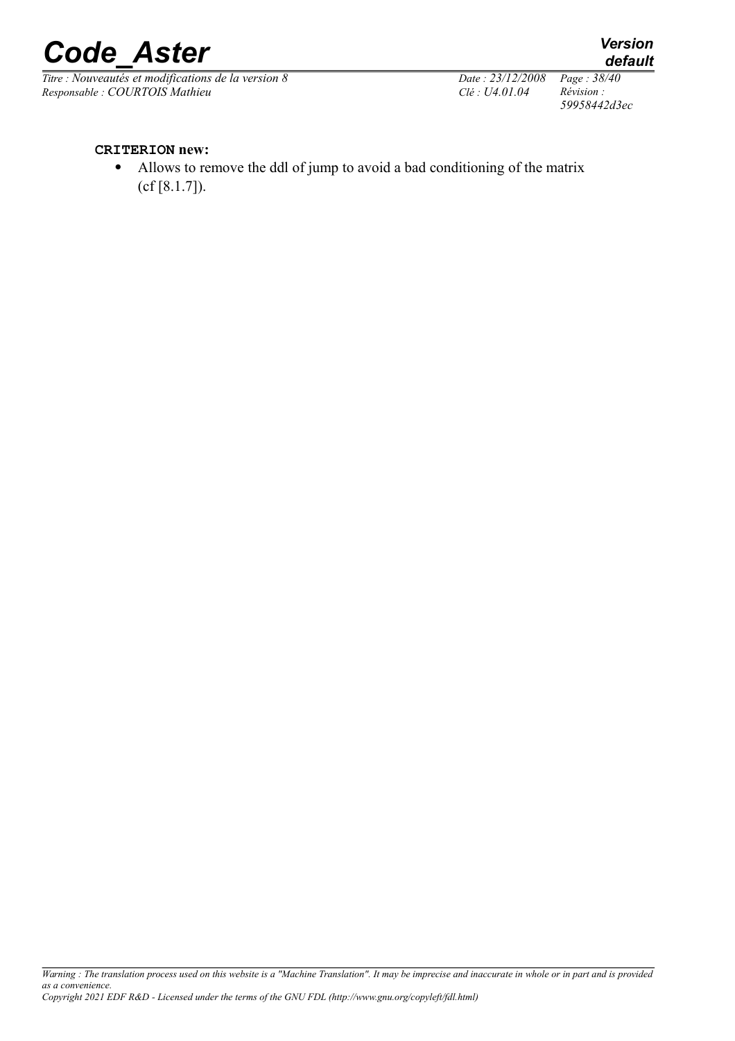

*Titre : Nouveautés et modifications de la version 8 Date : 23/12/2008 Page : 38/40 Responsable : COURTOIS Mathieu Clé : U4.01.04 Révision :* 

*59958442d3ec*

*default*

#### **CRITERION new:**

 Allows to remove the ddl of jump to avoid a bad conditioning of the matrix (cf [8.1.7]).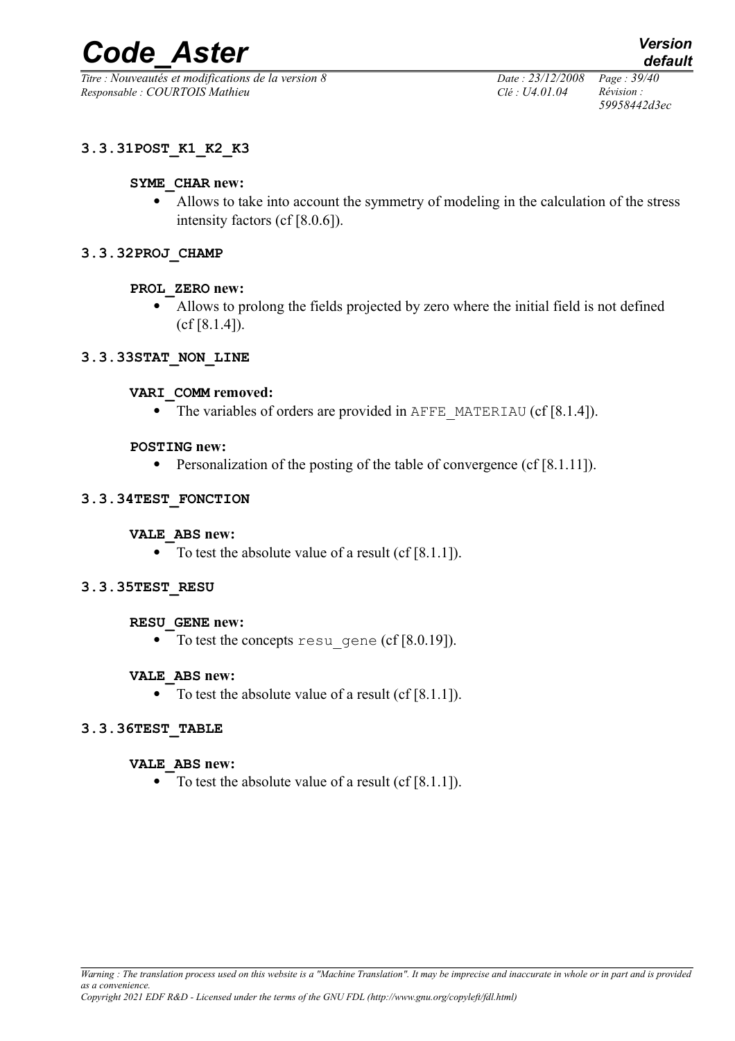*Titre : Nouveautés et modifications de la version 8 Date : 23/12/2008 Page : 39/40 Responsable : COURTOIS Mathieu Clé : U4.01.04 Révision :* 

*59958442d3ec*

## **3.3.31POST\_K1\_K2\_K3**

#### **SYME\_CHAR new:**

 Allows to take into account the symmetry of modeling in the calculation of the stress intensity factors (cf [8.0.6]).

#### **3.3.32PROJ\_CHAMP**

#### **PROL\_ZERO new:**

 Allows to prolong the fields projected by zero where the initial field is not defined (cf [8.1.4]).

#### **3.3.33STAT\_NON\_LINE**

#### **VARI\_COMM removed:**

• The variables of orders are provided in AFFE\_MATERIAU (cf  $[8.1.4]$ ).

#### **POSTING new:**

• Personalization of the posting of the table of convergence (cf  $[8.1.11]$ ).

#### **3.3.34TEST\_FONCTION**

#### **VALE\_ABS new:**

• To test the absolute value of a result (cf  $[8.1.1]$ ).

#### **3.3.35TEST\_RESU**

#### **RESU\_GENE new:**

• To test the concepts resu gene (cf  $[8.0.19]$ ).

#### **VALE\_ABS new:**

• To test the absolute value of a result (cf  $[8.1.1]$ ).

#### **3.3.36TEST\_TABLE**

#### **VALE\_ABS new:**

• To test the absolute value of a result (cf  $[8.1.1]$ ).